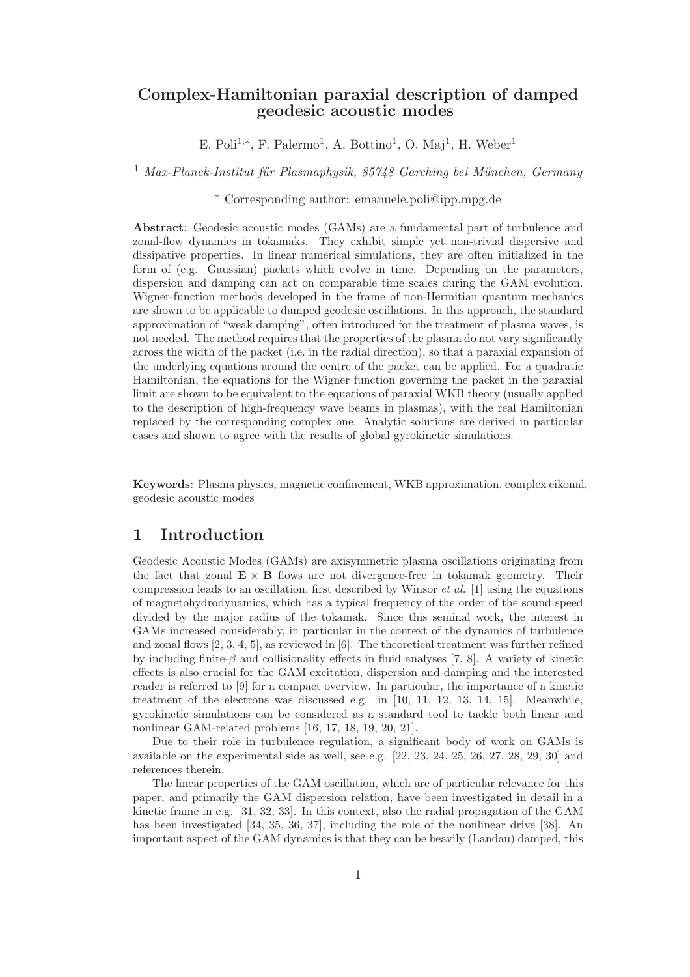## Complex-Hamiltonian paraxial description of damped geodesic acoustic modes

E. Poli<sup>1,\*</sup>, F. Palermo<sup>1</sup>, A. Bottino<sup>1</sup>, O. Maj<sup>1</sup>, H. Weber<sup>1</sup>

 $1$  Max-Planck-Institut für Plasmaphysik, 85748 Garching bei München, Germany

#### <sup>∗</sup> Corresponding author: emanuele.poli@ipp.mpg.de

Abstract: Geodesic acoustic modes (GAMs) are a fundamental part of turbulence and zonal-flow dynamics in tokamaks. They exhibit simple yet non-trivial dispersive and dissipative properties. In linear numerical simulations, they are often initialized in the form of (e.g. Gaussian) packets which evolve in time. Depending on the parameters, dispersion and damping can act on comparable time scales during the GAM evolution. Wigner-function methods developed in the frame of non-Hermitian quantum mechanics are shown to be applicable to damped geodesic oscillations. In this approach, the standard approximation of "weak damping", often introduced for the treatment of plasma waves, is not needed. The method requires that the properties of the plasma do not vary significantly across the width of the packet (i.e. in the radial direction), so that a paraxial expansion of the underlying equations around the centre of the packet can be applied. For a quadratic Hamiltonian, the equations for the Wigner function governing the packet in the paraxial limit are shown to be equivalent to the equations of paraxial WKB theory (usually applied to the description of high-frequency wave beams in plasmas), with the real Hamiltonian replaced by the corresponding complex one. Analytic solutions are derived in particular cases and shown to agree with the results of global gyrokinetic simulations.

Keywords: Plasma physics, magnetic confinement, WKB approximation, complex eikonal, geodesic acoustic modes

# 1 Introduction

Geodesic Acoustic Modes (GAMs) are axisymmetric plasma oscillations originating from the fact that zonal  $\mathbf{E} \times \mathbf{B}$  flows are not divergence-free in tokamak geometry. Their compression leads to an oscillation, first described by Winsor  $et al.$  [1] using the equations of magnetohydrodynamics, which has a typical frequency of the order of the sound speed divided by the major radius of the tokamak. Since this seminal work, the interest in GAMs increased considerably, in particular in the context of the dynamics of turbulence and zonal flows  $[2, 3, 4, 5]$ , as reviewed in  $[6]$ . The theoretical treatment was further refined by including finite- $\beta$  and collisionality effects in fluid analyses [7, 8]. A variety of kinetic effects is also crucial for the GAM excitation, dispersion and damping and the interested reader is referred to [9] for a compact overview. In particular, the importance of a kinetic treatment of the electrons was discussed e.g. in [10, 11, 12, 13, 14, 15]. Meanwhile, gyrokinetic simulations can be considered as a standard tool to tackle both linear and nonlinear GAM-related problems [16, 17, 18, 19, 20, 21].

Due to their role in turbulence regulation, a significant body of work on GAMs is available on the experimental side as well, see e.g.  $[22, 23, 24, 25, 26, 27, 28, 29, 30]$  and references therein.

The linear properties of the GAM oscillation, which are of particular relevance for this paper, and primarily the GAM dispersion relation, have been investigated in detail in a kinetic frame in e.g. [31, 32, 33]. In this context, also the radial propagation of the GAM has been investigated [34, 35, 36, 37], including the role of the nonlinear drive [38]. An important aspect of the GAM dynamics is that they can be heavily (Landau) damped, this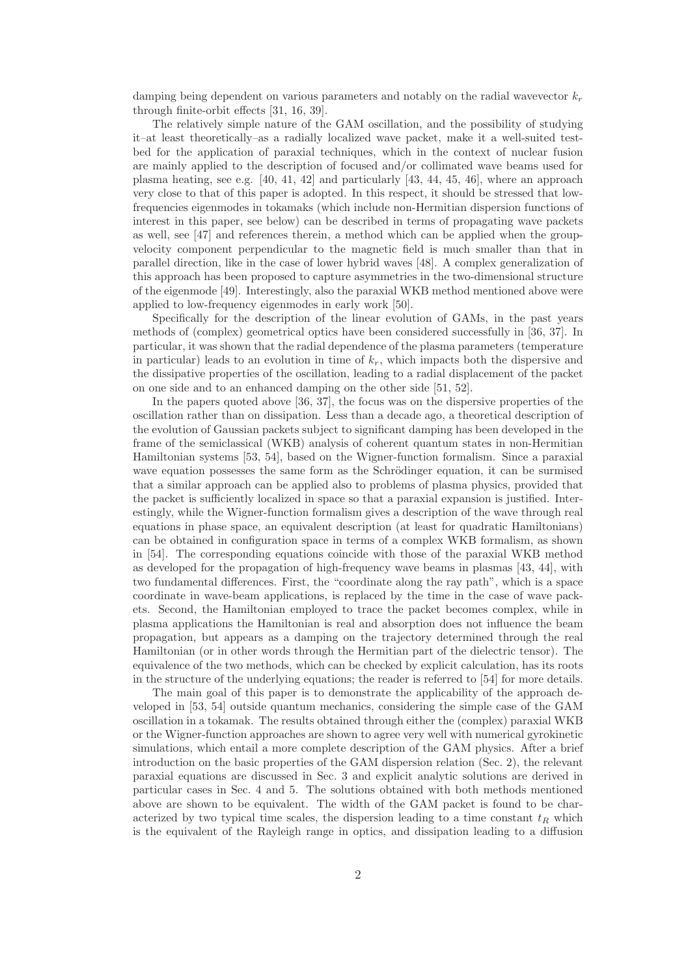damping being dependent on various parameters and notably on the radial wavevector  $k_r$ through finite-orbit effects [31, 16, 39].

The relatively simple nature of the GAM oscillation, and the possibility of studying it–at least theoretically–as a radially localized wave packet, make it a well-suited testbed for the application of paraxial techniques, which in the context of nuclear fusion are mainly applied to the description of focused and/or collimated wave beams used for plasma heating, see e.g.  $[40, 41, 42]$  and particularly  $[43, 44, 45, 46]$ , where an approach very close to that of this paper is adopted. In this respect, it should be stressed that lowfrequencies eigenmodes in tokamaks (which include non-Hermitian dispersion functions of interest in this paper, see below) can be described in terms of propagating wave packets as well, see [47] and references therein, a method which can be applied when the groupvelocity component perpendicular to the magnetic field is much smaller than that in parallel direction, like in the case of lower hybrid waves [48]. A complex generalization of this approach has been proposed to capture asymmetries in the two-dimensional structure of the eigenmode [49]. Interestingly, also the paraxial WKB method mentioned above were applied to low-frequency eigenmodes in early work [50].

Specifically for the description of the linear evolution of GAMs, in the past years methods of (complex) geometrical optics have been considered successfully in [36, 37]. In particular, it was shown that the radial dependence of the plasma parameters (temperature in particular) leads to an evolution in time of  $k_r$ , which impacts both the dispersive and the dissipative properties of the oscillation, leading to a radial displacement of the packet on one side and to an enhanced damping on the other side [51, 52].

In the papers quoted above [36, 37], the focus was on the dispersive properties of the oscillation rather than on dissipation. Less than a decade ago, a theoretical description of the evolution of Gaussian packets subject to significant damping has been developed in the frame of the semiclassical (WKB) analysis of coherent quantum states in non-Hermitian Hamiltonian systems [53, 54], based on the Wigner-function formalism. Since a paraxial wave equation possesses the same form as the Schrödinger equation, it can be surmised that a similar approach can be applied also to problems of plasma physics, provided that the packet is sufficiently localized in space so that a paraxial expansion is justified. Interestingly, while the Wigner-function formalism gives a description of the wave through real equations in phase space, an equivalent description (at least for quadratic Hamiltonians) can be obtained in configuration space in terms of a complex WKB formalism, as shown in [54]. The corresponding equations coincide with those of the paraxial WKB method as developed for the propagation of high-frequency wave beams in plasmas [43, 44], with two fundamental differences. First, the "coordinate along the ray path", which is a space coordinate in wave-beam applications, is replaced by the time in the case of wave packets. Second, the Hamiltonian employed to trace the packet becomes complex, while in plasma applications the Hamiltonian is real and absorption does not influence the beam propagation, but appears as a damping on the trajectory determined through the real Hamiltonian (or in other words through the Hermitian part of the dielectric tensor). The equivalence of the two methods, which can be checked by explicit calculation, has its roots in the structure of the underlying equations; the reader is referred to [54] for more details.

The main goal of this paper is to demonstrate the applicability of the approach developed in [53, 54] outside quantum mechanics, considering the simple case of the GAM oscillation in a tokamak. The results obtained through either the (complex) paraxial WKB or the Wigner-function approaches are shown to agree very well with numerical gyrokinetic simulations, which entail a more complete description of the GAM physics. After a brief introduction on the basic properties of the GAM dispersion relation (Sec. 2), the relevant paraxial equations are discussed in Sec. 3 and explicit analytic solutions are derived in particular cases in Sec. 4 and 5. The solutions obtained with both methods mentioned above are shown to be equivalent. The width of the GAM packet is found to be characterized by two typical time scales, the dispersion leading to a time constant  $t_R$  which is the equivalent of the Rayleigh range in optics, and dissipation leading to a diffusion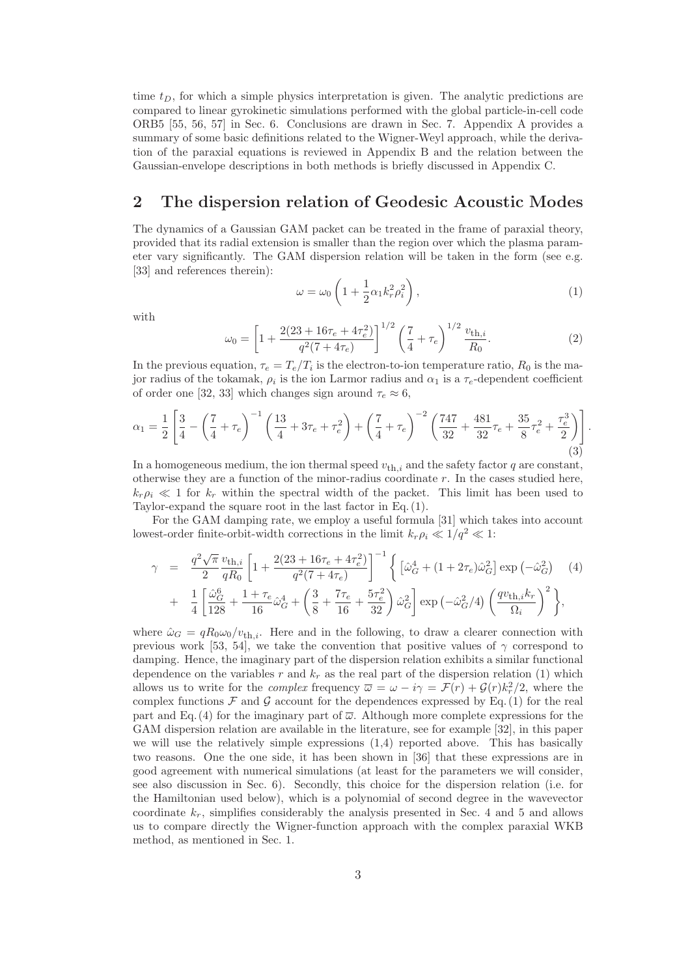time  $t_D$ , for which a simple physics interpretation is given. The analytic predictions are compared to linear gyrokinetic simulations performed with the global particle-in-cell code ORB5 [55, 56, 57] in Sec. 6. Conclusions are drawn in Sec. 7. Appendix A provides a summary of some basic definitions related to the Wigner-Weyl approach, while the derivation of the paraxial equations is reviewed in Appendix B and the relation between the Gaussian-envelope descriptions in both methods is briefly discussed in Appendix C.

# 2 The dispersion relation of Geodesic Acoustic Modes

The dynamics of a Gaussian GAM packet can be treated in the frame of paraxial theory, provided that its radial extension is smaller than the region over which the plasma parameter vary significantly. The GAM dispersion relation will be taken in the form (see e.g. [33] and references therein):

$$
\omega = \omega_0 \left( 1 + \frac{1}{2} \alpha_1 k_r^2 \rho_i^2 \right),\tag{1}
$$

.

with

$$
\omega_0 = \left[1 + \frac{2(23 + 16\tau_e + 4\tau_e^2)}{q^2(7 + 4\tau_e)}\right]^{1/2} \left(\frac{7}{4} + \tau_e\right)^{1/2} \frac{v_{\text{th},i}}{R_0}.\tag{2}
$$

In the previous equation,  $\tau_e = T_e/T_i$  is the electron-to-ion temperature ratio,  $R_0$  is the major radius of the tokamak,  $\rho_i$  is the ion Larmor radius and  $\alpha_1$  is a  $\tau_e$ -dependent coefficient of order one [32, 33] which changes sign around  $\tau_e \approx 6$ ,

$$
\alpha_1 = \frac{1}{2} \left[ \frac{3}{4} - \left( \frac{7}{4} + \tau_e \right)^{-1} \left( \frac{13}{4} + 3\tau_e + \tau_e^2 \right) + \left( \frac{7}{4} + \tau_e \right)^{-2} \left( \frac{747}{32} + \frac{481}{32}\tau_e + \frac{35}{8}\tau_e^2 + \frac{\tau_e^3}{2} \right) \right] \tag{3}
$$

In a homogeneous medium, the ion thermal speed  $v_{th,i}$  and the safety factor q are constant, otherwise they are a function of the minor-radius coordinate  $r$ . In the cases studied here,  $k_r \rho_i \ll 1$  for  $k_r$  within the spectral width of the packet. This limit has been used to Taylor-expand the square root in the last factor in Eq. (1).

For the GAM damping rate, we employ a useful formula [31] which takes into account lowest-order finite-orbit-width corrections in the limit  $k_r \rho_i \ll 1/q^2 \ll 1$ :

$$
\gamma = \frac{q^2 \sqrt{\pi}}{2} \frac{v_{\text{th},i}}{qR_0} \left[ 1 + \frac{2(23 + 16\tau_e + 4\tau_e^2)}{q^2 (7 + 4\tau_e)} \right]^{-1} \left\{ \left[ \hat{\omega}_G^4 + (1 + 2\tau_e) \hat{\omega}_G^2 \right] \exp\left( -\hat{\omega}_G^2 \right) \right\} \tag{4}
$$
  
+ 
$$
\frac{1}{4} \left[ \frac{\hat{\omega}_G^6}{128} + \frac{1 + \tau_e}{16} \hat{\omega}_G^4 + \left( \frac{3}{8} + \frac{7\tau_e}{16} + \frac{5\tau_e^2}{32} \right) \hat{\omega}_G^2 \right] \exp\left( -\hat{\omega}_G^2 / 4 \right) \left( \frac{qv_{\text{th},i}k_r}{\Omega_i} \right)^2 \right\},
$$

where  $\hat{\omega}_G = qR_0\omega_0/v_{\text{th},i}$ . Here and in the following, to draw a clearer connection with previous work [53, 54], we take the convention that positive values of  $\gamma$  correspond to damping. Hence, the imaginary part of the dispersion relation exhibits a similar functional dependence on the variables r and  $k_r$  as the real part of the dispersion relation (1) which allows us to write for the *complex* frequency  $\overline{\omega} = \omega - i\gamma = \mathcal{F}(r) + \mathcal{G}(r)k_r^2/2$ , where the complex functions  $\mathcal F$  and  $\mathcal G$  account for the dependences expressed by Eq. (1) for the real part and Eq. (4) for the imaginary part of  $\bar{\omega}$ . Although more complete expressions for the GAM dispersion relation are available in the literature, see for example [32], in this paper we will use the relatively simple expressions (1,4) reported above. This has basically two reasons. One the one side, it has been shown in [36] that these expressions are in good agreement with numerical simulations (at least for the parameters we will consider, see also discussion in Sec. 6). Secondly, this choice for the dispersion relation (i.e. for the Hamiltonian used below), which is a polynomial of second degree in the wavevector coordinate  $k_r$ , simplifies considerably the analysis presented in Sec. 4 and 5 and allows us to compare directly the Wigner-function approach with the complex paraxial WKB method, as mentioned in Sec. 1.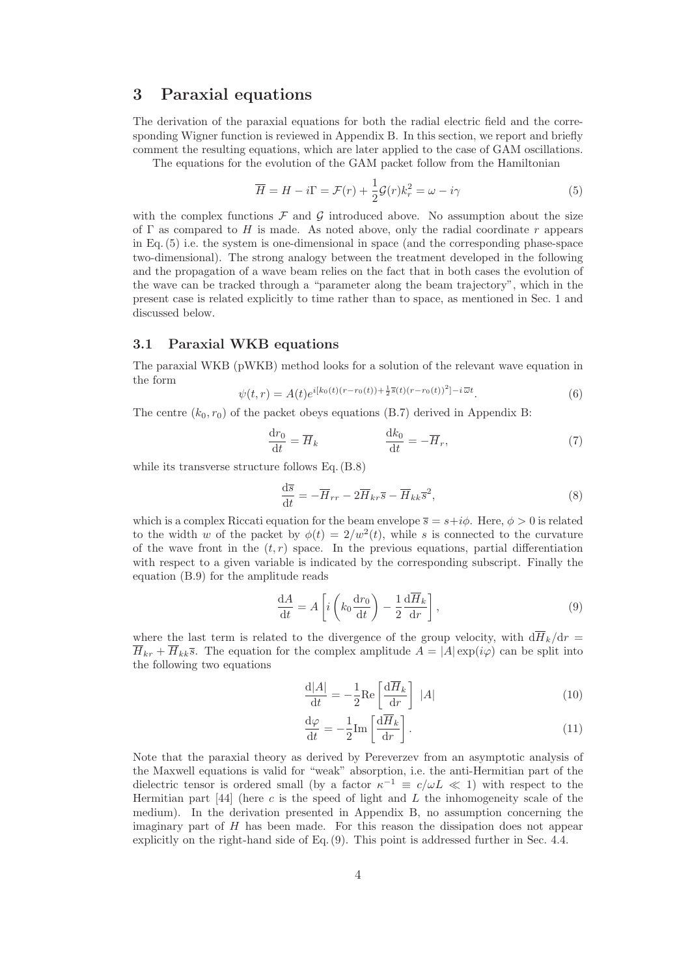### 3 Paraxial equations

The derivation of the paraxial equations for both the radial electric field and the corresponding Wigner function is reviewed in Appendix B. In this section, we report and briefly comment the resulting equations, which are later applied to the case of GAM oscillations.

The equations for the evolution of the GAM packet follow from the Hamiltonian

$$
\overline{H} = H - i\Gamma = \mathcal{F}(r) + \frac{1}{2}\mathcal{G}(r)k_r^2 = \omega - i\gamma
$$
\n(5)

with the complex functions  $\mathcal F$  and  $\mathcal G$  introduced above. No assumption about the size of  $\Gamma$  as compared to H is made. As noted above, only the radial coordinate r appears in Eq. (5) i.e. the system is one-dimensional in space (and the corresponding phase-space two-dimensional). The strong analogy between the treatment developed in the following and the propagation of a wave beam relies on the fact that in both cases the evolution of the wave can be tracked through a "parameter along the beam trajectory", which in the present case is related explicitly to time rather than to space, as mentioned in Sec. 1 and discussed below.

#### 3.1 Paraxial WKB equations

The paraxial WKB (pWKB) method looks for a solution of the relevant wave equation in the form

$$
\psi(t,r) = A(t)e^{i[k_0(t)(r - r_0(t)) + \frac{1}{2}\overline{s}(t)(r - r_0(t))^2] - i\overline{\omega}t}.
$$
\n(6)

The centre  $(k_0, r_0)$  of the packet obeys equations (B.7) derived in Appendix B:

$$
\frac{\mathrm{d}r_0}{\mathrm{d}t} = \overline{H}_k \qquad \qquad \frac{\mathrm{d}k_0}{\mathrm{d}t} = -\overline{H}_r,\tag{7}
$$

while its transverse structure follows Eq. (B.8)

$$
\frac{\mathrm{d}\overline{s}}{\mathrm{d}t} = -\overline{H}_{rr} - 2\overline{H}_{kr}\overline{s} - \overline{H}_{kk}\overline{s}^2,\tag{8}
$$

which is a complex Riccati equation for the beam envelope  $\overline{s} = s + i\phi$ . Here,  $\phi > 0$  is related to the width w of the packet by  $\phi(t) = 2/w^2(t)$ , while s is connected to the curvature of the wave front in the  $(t, r)$  space. In the previous equations, partial differentiation with respect to a given variable is indicated by the corresponding subscript. Finally the equation (B.9) for the amplitude reads

$$
\frac{\mathrm{d}A}{\mathrm{d}t} = A \left[ i \left( k_0 \frac{\mathrm{d}r_0}{\mathrm{d}t} \right) - \frac{1}{2} \frac{\mathrm{d}\overline{H}_k}{\mathrm{d}r} \right],\tag{9}
$$

where the last term is related to the divergence of the group velocity, with  $d\overline{H}_k/dr =$  $\overline{H}_{kr} + \overline{H}_{kk}\overline{s}$ . The equation for the complex amplitude  $A = |A| \exp(i\varphi)$  can be split into the following two equations

$$
\frac{\mathrm{d}|A|}{\mathrm{d}t} = -\frac{1}{2}\mathrm{Re}\left[\frac{\mathrm{d}\overline{H}_k}{\mathrm{d}r}\right] |A| \tag{10}
$$

$$
\frac{\mathrm{d}\varphi}{\mathrm{d}t} = -\frac{1}{2}\mathrm{Im}\left[\frac{\mathrm{d}\overline{H}_k}{\mathrm{d}r}\right].\tag{11}
$$

Note that the paraxial theory as derived by Pereverzev from an asymptotic analysis of the Maxwell equations is valid for "weak" absorption, i.e. the anti-Hermitian part of the dielectric tensor is ordered small (by a factor  $\kappa^{-1} \equiv c/\omega L \ll 1$ ) with respect to the Hermitian part  $[44]$  (here c is the speed of light and L the inhomogeneity scale of the medium). In the derivation presented in Appendix B, no assumption concerning the imaginary part of  $H$  has been made. For this reason the dissipation does not appear explicitly on the right-hand side of Eq. (9). This point is addressed further in Sec. 4.4.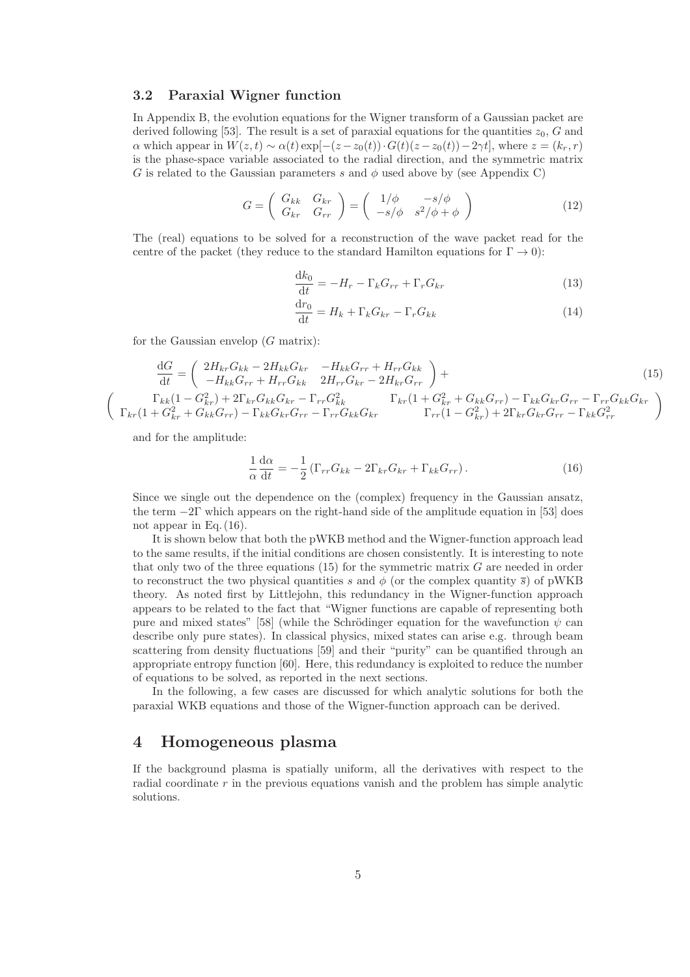#### 3.2 Paraxial Wigner function

In Appendix B, the evolution equations for the Wigner transform of a Gaussian packet are derived following [53]. The result is a set of paraxial equations for the quantities  $z_0$ , G and  $\alpha$  which appear in  $W(z, t) \sim \alpha(t) \exp[-(z - z_0(t)) \cdot G(t)(z - z_0(t)) - 2\gamma t]$ , where  $z = (k_r, r)$ is the phase-space variable associated to the radial direction, and the symmetric matrix G is related to the Gaussian parameters s and  $\phi$  used above by (see Appendix C)

$$
G = \begin{pmatrix} G_{kk} & G_{kr} \\ G_{kr} & G_{rr} \end{pmatrix} = \begin{pmatrix} 1/\phi & -s/\phi \\ -s/\phi & s^2/\phi + \phi \end{pmatrix}
$$
(12)

The (real) equations to be solved for a reconstruction of the wave packet read for the centre of the packet (they reduce to the standard Hamilton equations for  $\Gamma \to 0$ ):

$$
\frac{\mathrm{d}k_0}{\mathrm{d}t} = -H_r - \Gamma_k G_{rr} + \Gamma_r G_{kr} \tag{13}
$$

$$
\frac{\mathrm{d}r_0}{\mathrm{d}t} = H_k + \Gamma_k G_{kr} - \Gamma_r G_{kk} \tag{14}
$$

for the Gaussian envelop  $(G \text{ matrix})$ :

$$
\frac{dG}{dt} = \begin{pmatrix} 2H_{kr}G_{kk} - 2H_{kk}G_{kr} & -H_{kk}G_{rr} + H_{rr}G_{kk} \\ -H_{kk}G_{rr} + H_{rr}G_{kk} & 2H_{rr}G_{kr} - 2H_{kr}G_{rr} \end{pmatrix} + \begin{pmatrix} \Gamma_{kk}(1 - G_{kr}^2) + 2\Gamma_{kr}G_{kr}G_{kr} - \Gamma_{rr}G_{kk}^2 & \Gamma_{kr}(1 + G_{kr}^2 + G_{kk}G_{rr}) - \Gamma_{kk}G_{kr}G_{rr} - \Gamma_{rr}G_{kk}G_{kr} \\ \Gamma_{kr}(1 + G_{kr}^2 + G_{kk}G_{rr}) - \Gamma_{kk}G_{kr}G_{rr} - \Gamma_{rr}G_{kk}G_{kr} & \Gamma_{rr}(1 - G_{kr}^2) + 2\Gamma_{kr}G_{kr}G_{rr} - \Gamma_{kk}G_{rr}^2 \end{pmatrix}
$$
\n
$$
(15)
$$

and for the amplitude:

$$
\frac{1}{\alpha} \frac{d\alpha}{dt} = -\frac{1}{2} \left( \Gamma_{rr} G_{kk} - 2\Gamma_{kr} G_{kr} + \Gamma_{kk} G_{rr} \right). \tag{16}
$$

Since we single out the dependence on the (complex) frequency in the Gaussian ansatz, the term  $-2\Gamma$  which appears on the right-hand side of the amplitude equation in [53] does not appear in Eq. (16).

It is shown below that both the pWKB method and the Wigner-function approach lead to the same results, if the initial conditions are chosen consistently. It is interesting to note that only two of the three equations  $(15)$  for the symmetric matrix G are needed in order to reconstruct the two physical quantities s and  $\phi$  (or the complex quantity  $\overline{s}$ ) of pWKB theory. As noted first by Littlejohn, this redundancy in the Wigner-function approach appears to be related to the fact that "Wigner functions are capable of representing both pure and mixed states" [58] (while the Schrödinger equation for the wavefunction  $\psi$  can describe only pure states). In classical physics, mixed states can arise e.g. through beam scattering from density fluctuations [59] and their "purity" can be quantified through an appropriate entropy function [60]. Here, this redundancy is exploited to reduce the number of equations to be solved, as reported in the next sections.

In the following, a few cases are discussed for which analytic solutions for both the paraxial WKB equations and those of the Wigner-function approach can be derived.

### 4 Homogeneous plasma

If the background plasma is spatially uniform, all the derivatives with respect to the radial coordinate  $r$  in the previous equations vanish and the problem has simple analytic solutions.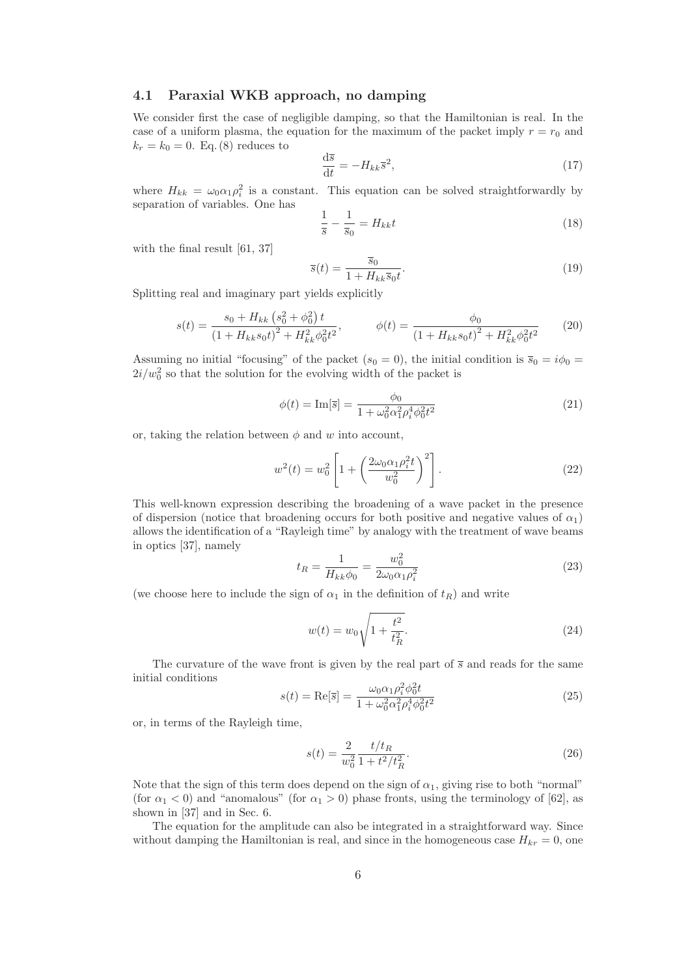### 4.1 Paraxial WKB approach, no damping

We consider first the case of negligible damping, so that the Hamiltonian is real. In the case of a uniform plasma, the equation for the maximum of the packet imply  $r = r_0$  and  $k_r = k_0 = 0$ . Eq. (8) reduces to

$$
\frac{\mathrm{d}\bar{s}}{\mathrm{d}t} = -H_{kk}\bar{s}^2,\tag{17}
$$

where  $H_{kk} = \omega_0 \alpha_1 \rho_i^2$  is a constant. This equation can be solved straightforwardly by separation of variables. One has

$$
\frac{1}{\overline{s}} - \frac{1}{\overline{s}_0} = H_{kk}t
$$
\n(18)

with the final result [61, 37]

$$
\overline{s}(t) = \frac{\overline{s}_0}{1 + H_{kk}\overline{s}_0 t}.
$$
\n(19)

Splitting real and imaginary part yields explicitly

$$
s(t) = \frac{s_0 + H_{kk} \left(s_0^2 + \phi_0^2\right) t}{\left(1 + H_{kk} s_0 t\right)^2 + H_{kk}^2 \phi_0^2 t^2}, \qquad \phi(t) = \frac{\phi_0}{\left(1 + H_{kk} s_0 t\right)^2 + H_{kk}^2 \phi_0^2 t^2} \tag{20}
$$

Assuming no initial "focusing" of the packet  $(s_0 = 0)$ , the initial condition is  $\bar{s}_0 = i\phi_0 =$  $2i/w_0^2$  so that the solution for the evolving width of the packet is

$$
\phi(t) = \text{Im}[\bar{s}] = \frac{\phi_0}{1 + \omega_0^2 \alpha_1^2 \rho_i^4 \phi_0^2 t^2}
$$
\n(21)

or, taking the relation between  $\phi$  and w into account,

$$
w^{2}(t) = w_{0}^{2} \left[ 1 + \left( \frac{2\omega_{0}\alpha_{1}\rho_{i}^{2}t}{w_{0}^{2}} \right)^{2} \right].
$$
 (22)

This well-known expression describing the broadening of a wave packet in the presence of dispersion (notice that broadening occurs for both positive and negative values of  $\alpha_1$ ) allows the identification of a "Rayleigh time" by analogy with the treatment of wave beams in optics [37], namely

$$
t_R = \frac{1}{H_{kk}\phi_0} = \frac{w_0^2}{2\omega_0\alpha_1\rho_i^2}
$$
 (23)

(we choose here to include the sign of  $\alpha_1$  in the definition of  $t_R$ ) and write

$$
w(t) = w_0 \sqrt{1 + \frac{t^2}{t_R^2}}.\t(24)
$$

The curvature of the wave front is given by the real part of  $\bar{s}$  and reads for the same initial conditions

$$
s(t) = \text{Re}[\bar{s}] = \frac{\omega_0 \alpha_1 \rho_i^2 \phi_0^2 t}{1 + \omega_0^2 \alpha_1^2 \rho_i^4 \phi_0^2 t^2}
$$
(25)

or, in terms of the Rayleigh time,

$$
s(t) = \frac{2}{w_0^2} \frac{t/t_R}{1 + t^2/t_R^2}.
$$
\n(26)

Note that the sign of this term does depend on the sign of  $\alpha_1$ , giving rise to both "normal" (for  $\alpha_1 < 0$ ) and "anomalous" (for  $\alpha_1 > 0$ ) phase fronts, using the terminology of [62], as shown in [37] and in Sec. 6.

The equation for the amplitude can also be integrated in a straightforward way. Since without damping the Hamiltonian is real, and since in the homogeneous case  $H_{kr} = 0$ , one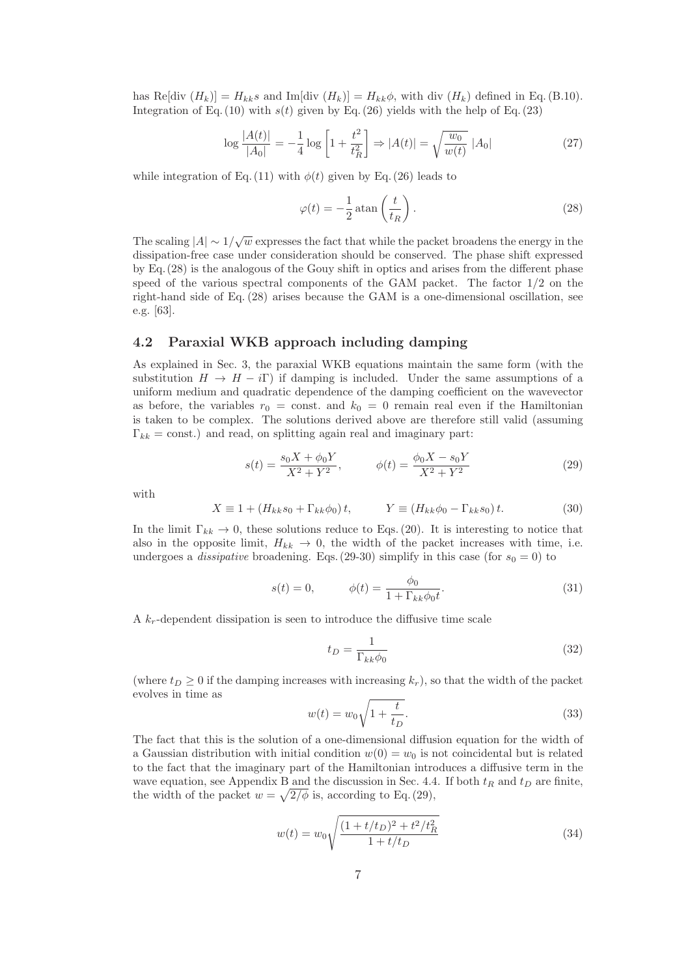has Re[div  $(H_k)$ ] =  $H_{kk}$ s and Im[div  $(H_k)$ ] =  $H_{kk}\phi$ , with div  $(H_k)$  defined in Eq. (B.10). Integration of Eq. (10) with  $s(t)$  given by Eq. (26) yields with the help of Eq. (23)

$$
\log \frac{|A(t)|}{|A_0|} = -\frac{1}{4} \log \left[ 1 + \frac{t^2}{t_R^2} \right] \Rightarrow |A(t)| = \sqrt{\frac{w_0}{w(t)}} |A_0| \tag{27}
$$

while integration of Eq. (11) with  $\phi(t)$  given by Eq. (26) leads to

$$
\varphi(t) = -\frac{1}{2}\operatorname{atan}\left(\frac{t}{t_R}\right). \tag{28}
$$

The scaling  $|A| \sim 1/\sqrt{w}$  expresses the fact that while the packet broadens the energy in the dissipation-free case under consideration should be conserved. The phase shift expressed by Eq. (28) is the analogous of the Gouy shift in optics and arises from the different phase speed of the various spectral components of the GAM packet. The factor 1/2 on the right-hand side of Eq. (28) arises because the GAM is a one-dimensional oscillation, see e.g. [63].

#### 4.2 Paraxial WKB approach including damping

As explained in Sec. 3, the paraxial WKB equations maintain the same form (with the substitution  $H \to H - i\Gamma$ ) if damping is included. Under the same assumptions of a uniform medium and quadratic dependence of the damping coefficient on the wavevector as before, the variables  $r_0 = \text{const.}$  and  $k_0 = 0$  remain real even if the Hamiltonian is taken to be complex. The solutions derived above are therefore still valid (assuming  $\Gamma_{kk} = \text{const.}$ ) and read, on splitting again real and imaginary part:

$$
s(t) = \frac{s_0 X + \phi_0 Y}{X^2 + Y^2}, \qquad \phi(t) = \frac{\phi_0 X - s_0 Y}{X^2 + Y^2}
$$
(29)

with

$$
X \equiv 1 + (H_{kk} s_0 + \Gamma_{kk} \phi_0) t, \qquad Y \equiv (H_{kk} \phi_0 - \Gamma_{kk} s_0) t. \tag{30}
$$

In the limit  $\Gamma_{kk} \to 0$ , these solutions reduce to Eqs. (20). It is interesting to notice that also in the opposite limit,  $H_{kk} \to 0$ , the width of the packet increases with time, i.e. undergoes a *dissipative* broadening. Eqs. (29-30) simplify in this case (for  $s_0 = 0$ ) to

$$
s(t) = 0, \qquad \phi(t) = \frac{\phi_0}{1 + \Gamma_{kk}\phi_0 t}.
$$
\n
$$
(31)
$$

A  $k_r$ -dependent dissipation is seen to introduce the diffusive time scale

$$
t_D = \frac{1}{\Gamma_{kk}\phi_0} \tag{32}
$$

(where  $t_D \geq 0$  if the damping increases with increasing  $k_r$ ), so that the width of the packet evolves in time as

$$
w(t) = w_0 \sqrt{1 + \frac{t}{t_D}}.\tag{33}
$$

The fact that this is the solution of a one-dimensional diffusion equation for the width of a Gaussian distribution with initial condition  $w(0) = w_0$  is not coincidental but is related to the fact that the imaginary part of the Hamiltonian introduces a diffusive term in the wave equation, see Appendix B and the discussion in Sec. 4.4. If both  $t_R$  and  $t_D$  are finite, the width of the packet  $w = \sqrt{2/\phi}$  is, according to Eq. (29),

$$
w(t) = w_0 \sqrt{\frac{(1 + t/t_D)^2 + t^2/t_R^2}{1 + t/t_D}}
$$
\n(34)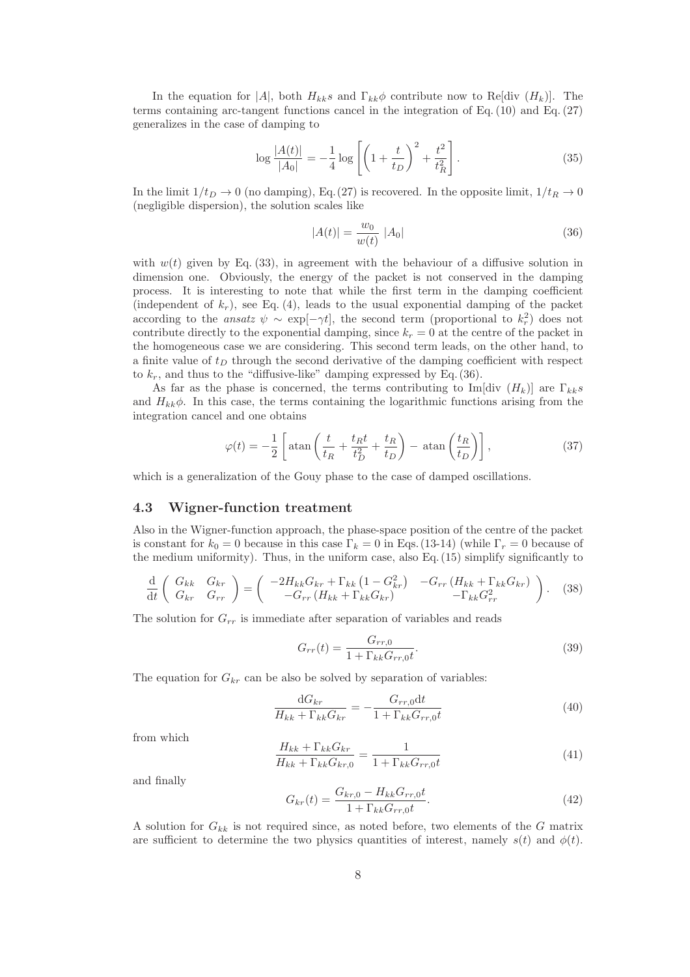In the equation for |A|, both  $H_{kk}$ s and  $\Gamma_{kk}\phi$  contribute now to Re[div  $(H_k)$ ]. The terms containing arc-tangent functions cancel in the integration of Eq. (10) and Eq. (27) generalizes in the case of damping to

$$
\log \frac{|A(t)|}{|A_0|} = -\frac{1}{4} \log \left[ \left( 1 + \frac{t}{t_D} \right)^2 + \frac{t^2}{t_R^2} \right].
$$
 (35)

In the limit  $1/t_D \rightarrow 0$  (no damping), Eq.(27) is recovered. In the opposite limit,  $1/t_R \rightarrow 0$ (negligible dispersion), the solution scales like

$$
|A(t)| = \frac{w_0}{w(t)} |A_0|
$$
\n(36)

with  $w(t)$  given by Eq. (33), in agreement with the behaviour of a diffusive solution in dimension one. Obviously, the energy of the packet is not conserved in the damping process. It is interesting to note that while the first term in the damping coefficient (independent of  $k_r$ ), see Eq. (4), leads to the usual exponential damping of the packet according to the *ansatz*  $\psi \sim \exp[-\gamma t]$ , the second term (proportional to  $k_r^2$ ) does not contribute directly to the exponential damping, since  $k_r = 0$  at the centre of the packet in the homogeneous case we are considering. This second term leads, on the other hand, to a finite value of  $t_D$  through the second derivative of the damping coefficient with respect to  $k_r$ , and thus to the "diffusive-like" damping expressed by Eq.  $(36)$ .

As far as the phase is concerned, the terms contributing to Im[div  $(H_k)$ ] are  $\Gamma_{kk}s$ and  $H_{kk}\phi$ . In this case, the terms containing the logarithmic functions arising from the integration cancel and one obtains

$$
\varphi(t) = -\frac{1}{2} \left[ \operatorname{atan} \left( \frac{t}{t_R} + \frac{t_R t}{t_D^2} + \frac{t_R}{t_D} \right) - \operatorname{atan} \left( \frac{t_R}{t_D} \right) \right],\tag{37}
$$

which is a generalization of the Gouy phase to the case of damped oscillations.

#### 4.3 Wigner-function treatment

Also in the Wigner-function approach, the phase-space position of the centre of the packet is constant for  $k_0 = 0$  because in this case  $\Gamma_k = 0$  in Eqs. (13-14) (while  $\Gamma_r = 0$  because of the medium uniformity). Thus, in the uniform case, also Eq. (15) simplify significantly to

$$
\frac{\mathrm{d}}{\mathrm{d}t} \left( \begin{array}{cc} G_{kk} & G_{kr} \\ G_{kr} & G_{rr} \end{array} \right) = \left( \begin{array}{cc} -2H_{kk}G_{kr} + \Gamma_{kk} \left( 1 - G_{kr}^2 \right) & -G_{rr} \left( H_{kk} + \Gamma_{kk} G_{kr} \right) \\ -G_{rr} \left( H_{kk} + \Gamma_{kk} G_{kr} \right) & -\Gamma_{kk} G_{rr}^2 \end{array} \right). \tag{38}
$$

The solution for  $G_{rr}$  is immediate after separation of variables and reads

$$
G_{rr}(t) = \frac{G_{rr,0}}{1 + \Gamma_{kk} G_{rr,0} t}.
$$
\n(39)

The equation for  $G_{kr}$  can be also be solved by separation of variables:

$$
\frac{dG_{kr}}{H_{kk} + \Gamma_{kk} G_{kr}} = -\frac{G_{rr,0} dt}{1 + \Gamma_{kk} G_{rr,0} t}
$$
(40)

from which

$$
\frac{H_{kk} + \Gamma_{kk} G_{kr}}{H_{kk} + \Gamma_{kk} G_{kr,0}} = \frac{1}{1 + \Gamma_{kk} G_{rr,0} t}
$$
\n(41)

and finally

$$
G_{kr}(t) = \frac{G_{kr,0} - H_{kk}G_{rr,0}t}{1 + \Gamma_{kk}G_{rr,0}t}.
$$
\n(42)

A solution for  $G_{kk}$  is not required since, as noted before, two elements of the G matrix are sufficient to determine the two physics quantities of interest, namely  $s(t)$  and  $\phi(t)$ .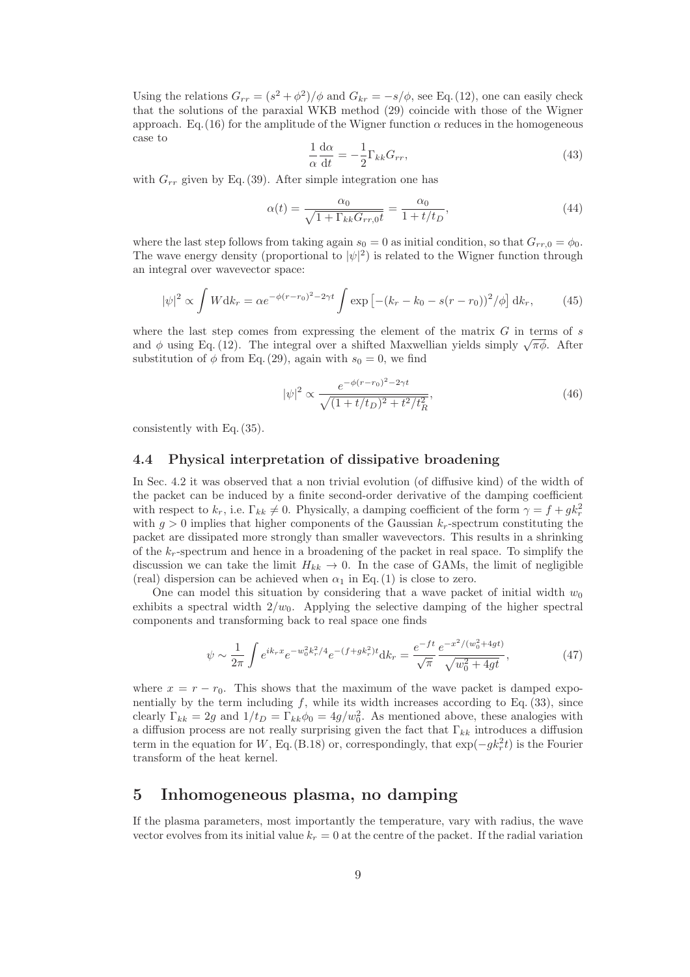Using the relations  $G_{rr} = (s^2 + \phi^2)/\phi$  and  $G_{kr} = -s/\phi$ , see Eq. (12), one can easily check that the solutions of the paraxial WKB method (29) coincide with those of the Wigner approach. Eq. (16) for the amplitude of the Wigner function  $\alpha$  reduces in the homogeneous case to

$$
\frac{1}{\alpha} \frac{d\alpha}{dt} = -\frac{1}{2} \Gamma_{kk} G_{rr},\tag{43}
$$

with  $G_{rr}$  given by Eq. (39). After simple integration one has

$$
\alpha(t) = \frac{\alpha_0}{\sqrt{1 + \Gamma_{kk} G_{rr,0} t}} = \frac{\alpha_0}{1 + t/t_D},\tag{44}
$$

where the last step follows from taking again  $s_0 = 0$  as initial condition, so that  $G_{rr,0} = \phi_0$ . The wave energy density (proportional to  $|\psi|^2$ ) is related to the Wigner function through an integral over wavevector space:

$$
|\psi|^2 \propto \int W dk_r = \alpha e^{-\phi(r-r_0)^2 - 2\gamma t} \int \exp\left[ -(k_r - k_0 - s(r-r_0))^2 / \phi \right] dk_r, \tag{45}
$$

where the last step comes from expressing the element of the matrix  $G$  in terms of  $s$ and  $\phi$  using Eq. (12). The integral over a shifted Maxwellian yields simply  $\sqrt{\pi\phi}$ . After substitution of  $\phi$  from Eq. (29), again with  $s_0 = 0$ , we find

$$
|\psi|^2 \propto \frac{e^{-\phi(r-r_0)^2 - 2\gamma t}}{\sqrt{(1 + t/t_D)^2 + t^2/t_R^2}},
$$
\n(46)

consistently with Eq. (35).

#### 4.4 Physical interpretation of dissipative broadening

In Sec. 4.2 it was observed that a non trivial evolution (of diffusive kind) of the width of the packet can be induced by a finite second-order derivative of the damping coefficient with respect to  $k_r$ , i.e.  $\Gamma_{kk} \neq 0$ . Physically, a damping coefficient of the form  $\gamma = f + g k_r^2$ with  $g > 0$  implies that higher components of the Gaussian  $k_r$ -spectrum constituting the packet are dissipated more strongly than smaller wavevectors. This results in a shrinking of the  $k_r$ -spectrum and hence in a broadening of the packet in real space. To simplify the discussion we can take the limit  $H_{kk} \to 0$ . In the case of GAMs, the limit of negligible (real) dispersion can be achieved when  $\alpha_1$  in Eq. (1) is close to zero.

One can model this situation by considering that a wave packet of initial width  $w_0$ exhibits a spectral width  $2/w_0$ . Applying the selective damping of the higher spectral components and transforming back to real space one finds

$$
\psi \sim \frac{1}{2\pi} \int e^{ik_rx} e^{-w_0^2 k_r^2/4} e^{-(f+gk_r^2)t} dk_r = \frac{e^{-ft}}{\sqrt{\pi}} \frac{e^{-x^2/(w_0^2+4gt)}}{\sqrt{w_0^2+4gt}},\tag{47}
$$

where  $x = r - r_0$ . This shows that the maximum of the wave packet is damped exponentially by the term including  $f$ , while its width increases according to Eq. (33), since clearly  $\Gamma_{kk} = 2g$  and  $1/t_D = \Gamma_{kk}\phi_0 = 4g/w_0^2$ . As mentioned above, these analogies with a diffusion process are not really surprising given the fact that  $\Gamma_{kk}$  introduces a diffusion term in the equation for W, Eq.(B.18) or, correspondingly, that  $\exp(-g k_r^2 t)$  is the Fourier transform of the heat kernel.

### 5 Inhomogeneous plasma, no damping

If the plasma parameters, most importantly the temperature, vary with radius, the wave vector evolves from its initial value  $k_r = 0$  at the centre of the packet. If the radial variation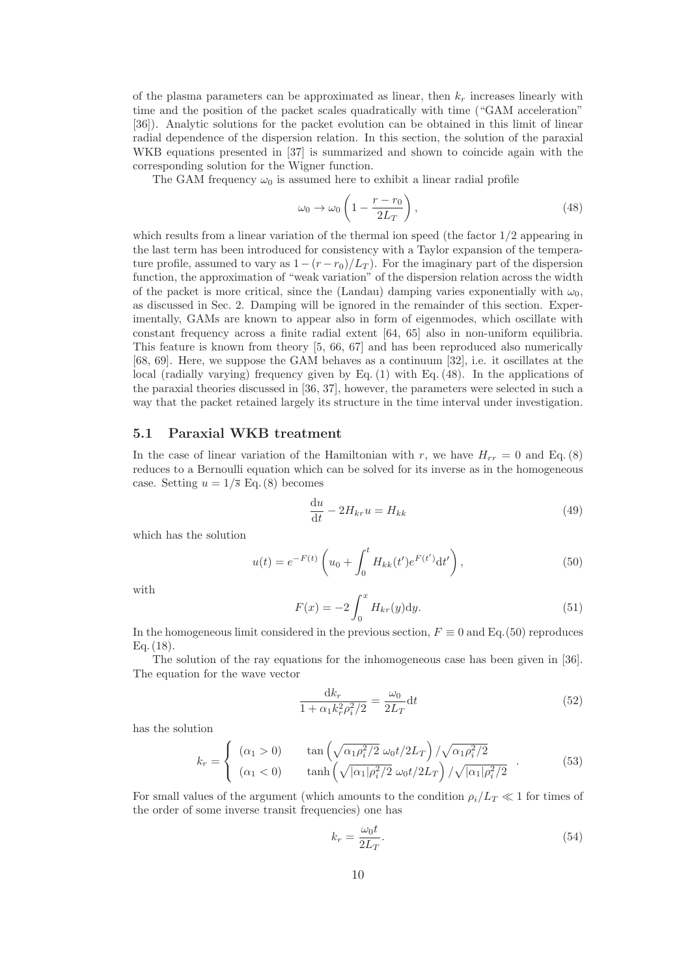of the plasma parameters can be approximated as linear, then  $k_r$  increases linearly with time and the position of the packet scales quadratically with time ("GAM acceleration" [36]). Analytic solutions for the packet evolution can be obtained in this limit of linear radial dependence of the dispersion relation. In this section, the solution of the paraxial WKB equations presented in [37] is summarized and shown to coincide again with the corresponding solution for the Wigner function.

The GAM frequency  $\omega_0$  is assumed here to exhibit a linear radial profile

$$
\omega_0 \to \omega_0 \left( 1 - \frac{r - r_0}{2L_T} \right),\tag{48}
$$

which results from a linear variation of the thermal ion speed (the factor  $1/2$  appearing in the last term has been introduced for consistency with a Taylor expansion of the temperature profile, assumed to vary as  $1-(r-r_0)/L_T$ ). For the imaginary part of the dispersion function, the approximation of "weak variation" of the dispersion relation across the width of the packet is more critical, since the (Landau) damping varies exponentially with  $\omega_0$ , as discussed in Sec. 2. Damping will be ignored in the remainder of this section. Experimentally, GAMs are known to appear also in form of eigenmodes, which oscillate with constant frequency across a finite radial extent [64, 65] also in non-uniform equilibria. This feature is known from theory [5, 66, 67] and has been reproduced also numerically [68, 69]. Here, we suppose the GAM behaves as a continuum [32], i.e. it oscillates at the local (radially varying) frequency given by Eq. (1) with Eq. (48). In the applications of the paraxial theories discussed in [36, 37], however, the parameters were selected in such a way that the packet retained largely its structure in the time interval under investigation.

#### 5.1 Paraxial WKB treatment

In the case of linear variation of the Hamiltonian with r, we have  $H_{rr} = 0$  and Eq. (8) reduces to a Bernoulli equation which can be solved for its inverse as in the homogeneous case. Setting  $u = 1/\overline{s}$  Eq. (8) becomes

$$
\frac{\mathrm{d}u}{\mathrm{d}t} - 2H_{kr}u = H_{kk} \tag{49}
$$

which has the solution

$$
u(t) = e^{-F(t)} \left( u_0 + \int_0^t H_{kk}(t') e^{F(t')} dt' \right), \qquad (50)
$$

with

$$
F(x) = -2 \int_0^x H_{kr}(y) dy.
$$
\n
$$
(51)
$$

In the homogeneous limit considered in the previous section,  $F \equiv 0$  and Eq. (50) reproduces Eq. (18).

The solution of the ray equations for the inhomogeneous case has been given in [36]. The equation for the wave vector

$$
\frac{dk_r}{1 + \alpha_1 k_r^2 \rho_i^2 / 2} = \frac{\omega_0}{2L_T} dt
$$
\n(52)

has the solution

$$
k_r = \begin{cases} (\alpha_1 > 0) & \tan\left(\sqrt{\alpha_1 \rho_i^2/2} \ \omega_0 t/2L_T\right) / \sqrt{\alpha_1 \rho_i^2/2} \\ (\alpha_1 < 0) & \tanh\left(\sqrt{|\alpha_1| \rho_i^2/2} \ \omega_0 t/2L_T\right) / \sqrt{|\alpha_1| \rho_i^2/2} \end{cases} . \tag{53}
$$

For small values of the argument (which amounts to the condition  $\rho_i/L_T \ll 1$  for times of the order of some inverse transit frequencies) one has

$$
k_r = \frac{\omega_0 t}{2L_T}.\tag{54}
$$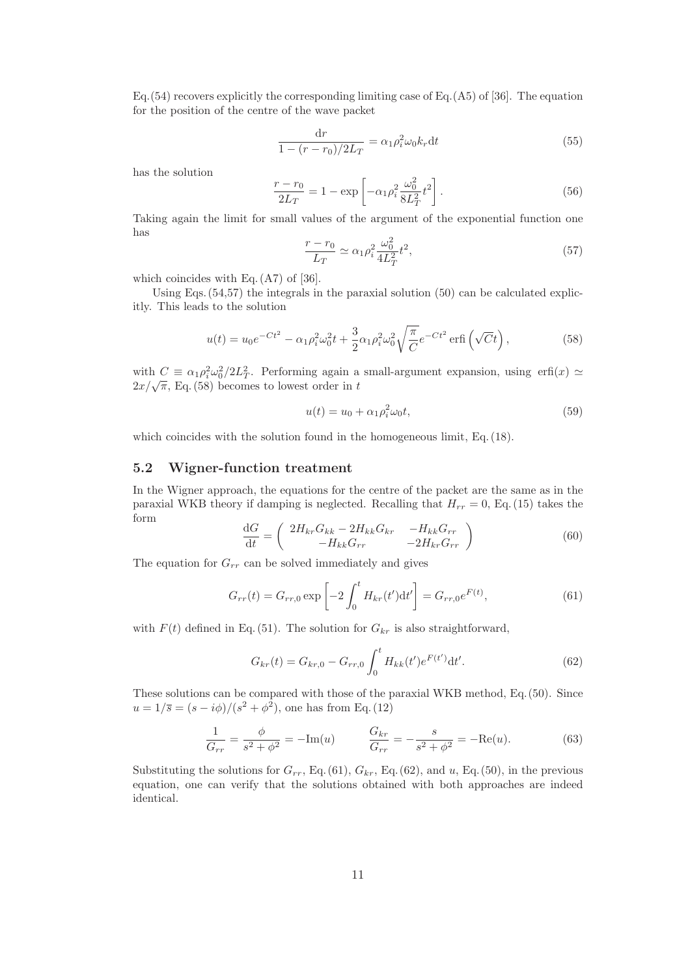Eq.  $(54)$  recovers explicitly the corresponding limiting case of Eq.  $(A5)$  of [36]. The equation for the position of the centre of the wave packet

$$
\frac{\mathrm{d}r}{1 - (r - r_0)/2L_T} = \alpha_1 \rho_i^2 \omega_0 k_r \mathrm{d}t \tag{55}
$$

has the solution

$$
\frac{r - r_0}{2L_T} = 1 - \exp\left[ -\alpha_1 \rho_i^2 \frac{\omega_0^2}{8L_T^2} t^2 \right].
$$
 (56)

Taking again the limit for small values of the argument of the exponential function one has

$$
\frac{r - r_0}{L_T} \simeq \alpha_1 \rho_i^2 \frac{\omega_0^2}{4L_T^2} t^2,\tag{57}
$$

which coincides with Eq. (A7) of [36].

Using Eqs.  $(54,57)$  the integrals in the paraxial solution  $(50)$  can be calculated explicitly. This leads to the solution

$$
u(t) = u_0 e^{-Ct^2} - \alpha_1 \rho_i^2 \omega_0^2 t + \frac{3}{2} \alpha_1 \rho_i^2 \omega_0^2 \sqrt{\frac{\pi}{C}} e^{-Ct^2} \operatorname{erfi} \left( \sqrt{C} t \right), \tag{58}
$$

with  $C \equiv \alpha_1 \rho_i^2 \omega_0^2 / 2L_T^2$ . Performing again a small-argument expansion, using erfi(x)  $\simeq$  $2x/\sqrt{\pi}$ , Eq. (58) becomes to lowest order in t

$$
u(t) = u_0 + \alpha_1 \rho_i^2 \omega_0 t,\tag{59}
$$

which coincides with the solution found in the homogeneous limit, Eq.  $(18)$ .

#### 5.2 Wigner-function treatment

In the Wigner approach, the equations for the centre of the packet are the same as in the paraxial WKB theory if damping is neglected. Recalling that  $H_{rr} = 0$ , Eq. (15) takes the form

$$
\frac{\mathrm{d}G}{\mathrm{d}t} = \begin{pmatrix} 2H_{kr}G_{kk} - 2H_{kk}G_{kr} & -H_{kk}G_{rr} \\ -H_{kk}G_{rr} & -2H_{kr}G_{rr} \end{pmatrix}
$$
\n(60)

The equation for  $G_{rr}$  can be solved immediately and gives

$$
G_{rr}(t) = G_{rr,0} \exp\left[-2 \int_0^t H_{kr}(t') dt'\right] = G_{rr,0} e^{F(t)},\tag{61}
$$

with  $F(t)$  defined in Eq. (51). The solution for  $G_{kr}$  is also straightforward,

$$
G_{kr}(t) = G_{kr,0} - G_{rr,0} \int_0^t H_{kk}(t') e^{F(t')} dt'. \tag{62}
$$

These solutions can be compared with those of the paraxial WKB method, Eq.(50). Since  $u = 1/\overline{s} = (s - i\phi)/(s^2 + \phi^2)$ , one has from Eq. (12)

$$
\frac{1}{G_{rr}} = \frac{\phi}{s^2 + \phi^2} = -\text{Im}(u) \qquad \frac{G_{kr}}{G_{rr}} = -\frac{s}{s^2 + \phi^2} = -\text{Re}(u). \tag{63}
$$

Substituting the solutions for  $G_{rr}$ , Eq. (61),  $G_{kr}$ , Eq. (62), and u, Eq. (50), in the previous equation, one can verify that the solutions obtained with both approaches are indeed identical.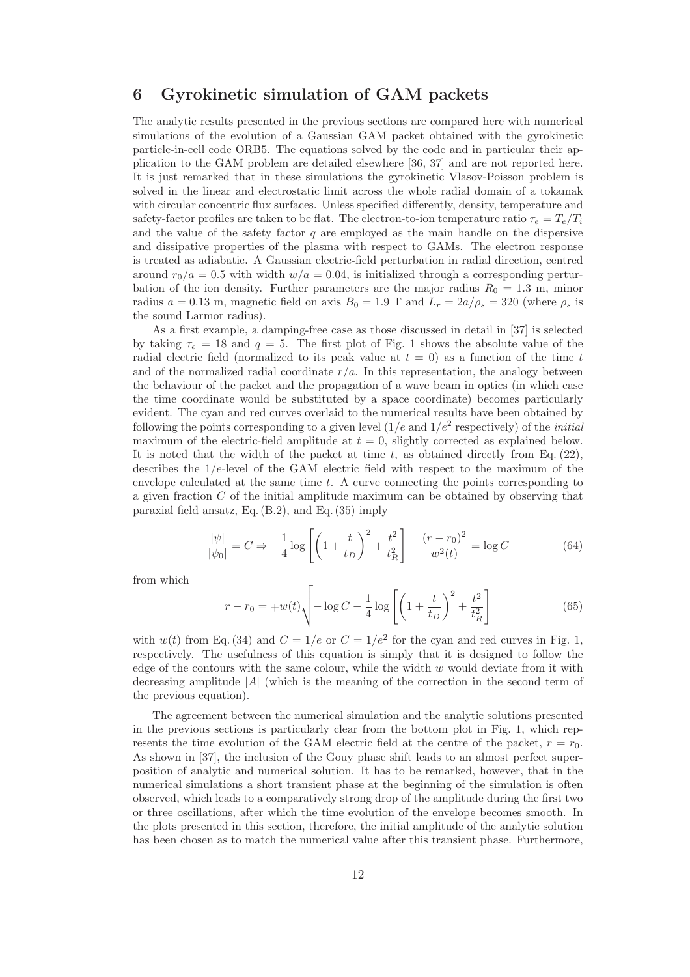## 6 Gyrokinetic simulation of GAM packets

The analytic results presented in the previous sections are compared here with numerical simulations of the evolution of a Gaussian GAM packet obtained with the gyrokinetic particle-in-cell code ORB5. The equations solved by the code and in particular their application to the GAM problem are detailed elsewhere [36, 37] and are not reported here. It is just remarked that in these simulations the gyrokinetic Vlasov-Poisson problem is solved in the linear and electrostatic limit across the whole radial domain of a tokamak with circular concentric flux surfaces. Unless specified differently, density, temperature and safety-factor profiles are taken to be flat. The electron-to-ion temperature ratio  $\tau_e = T_e/T_i$ and the value of the safety factor  $q$  are employed as the main handle on the dispersive and dissipative properties of the plasma with respect to GAMs. The electron response is treated as adiabatic. A Gaussian electric-field perturbation in radial direction, centred around  $r_0/a = 0.5$  with width  $w/a = 0.04$ , is initialized through a corresponding perturbation of the ion density. Further parameters are the major radius  $R_0 = 1.3$  m, minor radius  $a = 0.13$  m, magnetic field on axis  $B_0 = 1.9$  T and  $L_r = 2a/\rho_s = 320$  (where  $\rho_s$  is the sound Larmor radius).

As a first example, a damping-free case as those discussed in detail in [37] is selected by taking  $\tau_e = 18$  and  $q = 5$ . The first plot of Fig. 1 shows the absolute value of the radial electric field (normalized to its peak value at  $t = 0$ ) as a function of the time t and of the normalized radial coordinate  $r/a$ . In this representation, the analogy between the behaviour of the packet and the propagation of a wave beam in optics (in which case the time coordinate would be substituted by a space coordinate) becomes particularly evident. The cyan and red curves overlaid to the numerical results have been obtained by following the points corresponding to a given level  $(1/e$  and  $1/e^2$  respectively) of the *initial* maximum of the electric-field amplitude at  $t = 0$ , slightly corrected as explained below. It is noted that the width of the packet at time  $t$ , as obtained directly from Eq. (22), describes the 1/e-level of the GAM electric field with respect to the maximum of the envelope calculated at the same time  $t$ . A curve connecting the points corresponding to a given fraction  $C$  of the initial amplitude maximum can be obtained by observing that paraxial field ansatz, Eq. (B.2), and Eq. (35) imply

$$
\frac{|\psi|}{|\psi_0|} = C \Rightarrow -\frac{1}{4} \log \left[ \left( 1 + \frac{t}{t_D} \right)^2 + \frac{t^2}{t_R^2} \right] - \frac{(r - r_0)^2}{w^2(t)} = \log C \tag{64}
$$

from which

$$
r - r_0 = \mp w(t) \sqrt{-\log C - \frac{1}{4} \log \left[ \left( 1 + \frac{t}{t_D} \right)^2 + \frac{t^2}{t_R^2} \right]}
$$
(65)

with  $w(t)$  from Eq. (34) and  $C = 1/e$  or  $C = 1/e^2$  for the cyan and red curves in Fig. 1, respectively. The usefulness of this equation is simply that it is designed to follow the edge of the contours with the same colour, while the width  $w$  would deviate from it with decreasing amplitude |A| (which is the meaning of the correction in the second term of the previous equation).

The agreement between the numerical simulation and the analytic solutions presented in the previous sections is particularly clear from the bottom plot in Fig. 1, which represents the time evolution of the GAM electric field at the centre of the packet,  $r = r_0$ . As shown in [37], the inclusion of the Gouy phase shift leads to an almost perfect superposition of analytic and numerical solution. It has to be remarked, however, that in the numerical simulations a short transient phase at the beginning of the simulation is often observed, which leads to a comparatively strong drop of the amplitude during the first two or three oscillations, after which the time evolution of the envelope becomes smooth. In the plots presented in this section, therefore, the initial amplitude of the analytic solution has been chosen as to match the numerical value after this transient phase. Furthermore,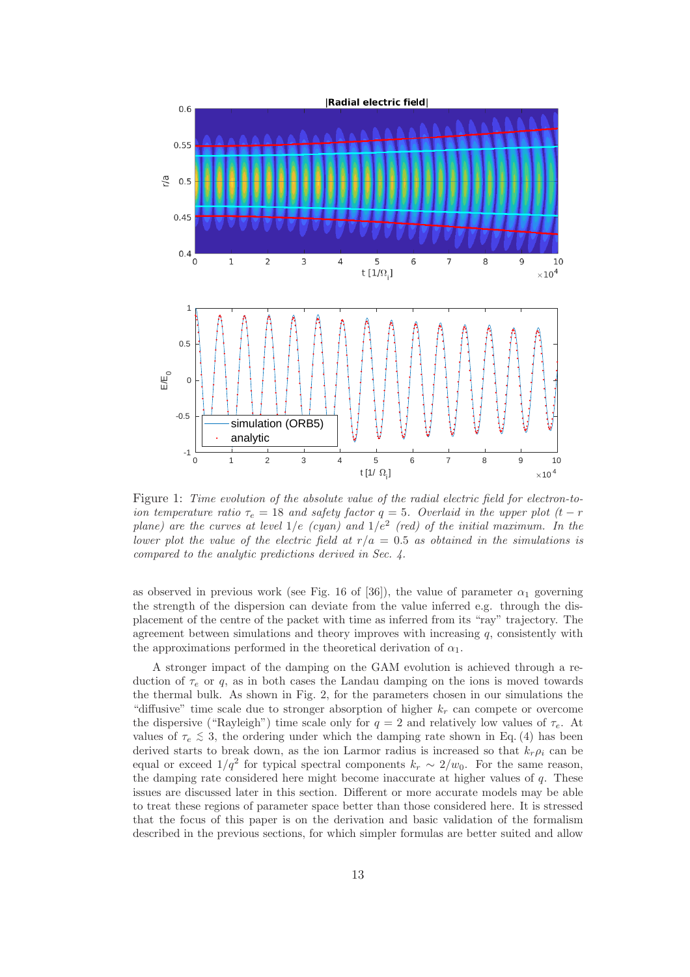

Figure 1: Time evolution of the absolute value of the radial electric field for electron-toion temperature ratio  $\tau_e = 18$  and safety factor  $q = 5$ . Overlaid in the upper plot  $(t - r)$ plane) are the curves at level  $1/e$  (cyan) and  $1/e^2$  (red) of the initial maximum. In the lower plot the value of the electric field at  $r/a = 0.5$  as obtained in the simulations is compared to the analytic predictions derived in Sec. 4.

as observed in previous work (see Fig. 16 of [36]), the value of parameter  $\alpha_1$  governing the strength of the dispersion can deviate from the value inferred e.g. through the displacement of the centre of the packet with time as inferred from its "ray" trajectory. The agreement between simulations and theory improves with increasing  $q$ , consistently with the approximations performed in the theoretical derivation of  $\alpha_1$ .

A stronger impact of the damping on the GAM evolution is achieved through a reduction of  $\tau_e$  or q, as in both cases the Landau damping on the ions is moved towards the thermal bulk. As shown in Fig. 2, for the parameters chosen in our simulations the "diffusive" time scale due to stronger absorption of higher  $k_r$  can compete or overcome the dispersive ("Rayleigh") time scale only for  $q = 2$  and relatively low values of  $\tau_e$ . At values of  $\tau_e \lesssim 3$ , the ordering under which the damping rate shown in Eq. (4) has been derived starts to break down, as the ion Larmor radius is increased so that  $k_r \rho_i$  can be equal or exceed  $1/q^2$  for typical spectral components  $k_r \sim 2/w_0$ . For the same reason, the damping rate considered here might become inaccurate at higher values of  $q$ . These issues are discussed later in this section. Different or more accurate models may be able to treat these regions of parameter space better than those considered here. It is stressed that the focus of this paper is on the derivation and basic validation of the formalism described in the previous sections, for which simpler formulas are better suited and allow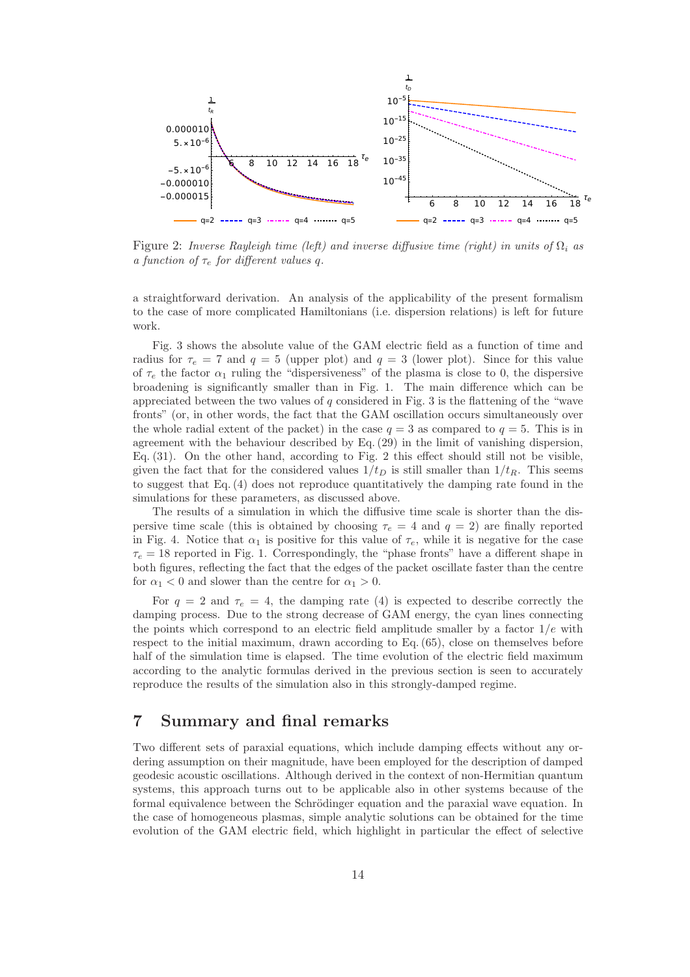

Figure 2: Inverse Rayleigh time (left) and inverse diffusive time (right) in units of  $\Omega_i$  as a function of  $\tau_e$  for different values q.

a straightforward derivation. An analysis of the applicability of the present formalism to the case of more complicated Hamiltonians (i.e. dispersion relations) is left for future work.

Fig. 3 shows the absolute value of the GAM electric field as a function of time and radius for  $\tau_e = 7$  and  $q = 5$  (upper plot) and  $q = 3$  (lower plot). Since for this value of  $\tau_e$  the factor  $\alpha_1$  ruling the "dispersiveness" of the plasma is close to 0, the dispersive broadening is significantly smaller than in Fig. 1. The main difference which can be appreciated between the two values of q considered in Fig. 3 is the flattening of the "wave" fronts" (or, in other words, the fact that the GAM oscillation occurs simultaneously over the whole radial extent of the packet) in the case  $q = 3$  as compared to  $q = 5$ . This is in agreement with the behaviour described by Eq. (29) in the limit of vanishing dispersion, Eq. (31). On the other hand, according to Fig. 2 this effect should still not be visible, given the fact that for the considered values  $1/t_D$  is still smaller than  $1/t_R$ . This seems to suggest that Eq. (4) does not reproduce quantitatively the damping rate found in the simulations for these parameters, as discussed above.

The results of a simulation in which the diffusive time scale is shorter than the dispersive time scale (this is obtained by choosing  $\tau_e = 4$  and  $q = 2$ ) are finally reported in Fig. 4. Notice that  $\alpha_1$  is positive for this value of  $\tau_e$ , while it is negative for the case  $\tau_e = 18$  reported in Fig. 1. Correspondingly, the "phase fronts" have a different shape in both figures, reflecting the fact that the edges of the packet oscillate faster than the centre for  $\alpha_1 < 0$  and slower than the centre for  $\alpha_1 > 0$ .

For  $q = 2$  and  $\tau_e = 4$ , the damping rate (4) is expected to describe correctly the damping process. Due to the strong decrease of GAM energy, the cyan lines connecting the points which correspond to an electric field amplitude smaller by a factor  $1/e$  with respect to the initial maximum, drawn according to Eq. (65), close on themselves before half of the simulation time is elapsed. The time evolution of the electric field maximum according to the analytic formulas derived in the previous section is seen to accurately reproduce the results of the simulation also in this strongly-damped regime.

### 7 Summary and final remarks

Two different sets of paraxial equations, which include damping effects without any ordering assumption on their magnitude, have been employed for the description of damped geodesic acoustic oscillations. Although derived in the context of non-Hermitian quantum systems, this approach turns out to be applicable also in other systems because of the formal equivalence between the Schrödinger equation and the paraxial wave equation. In the case of homogeneous plasmas, simple analytic solutions can be obtained for the time evolution of the GAM electric field, which highlight in particular the effect of selective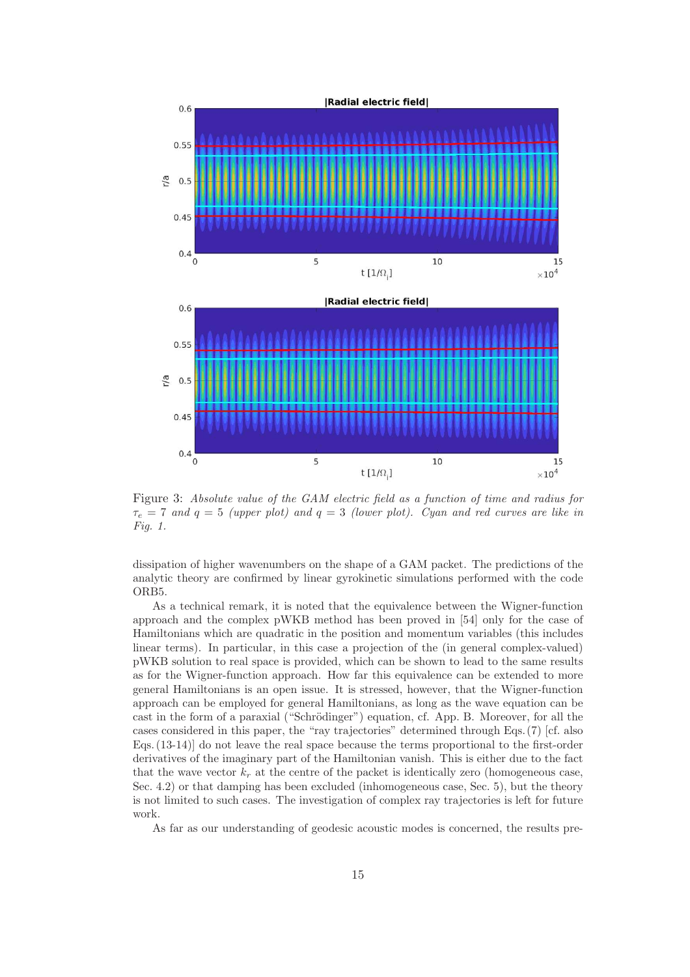

Figure 3: Absolute value of the GAM electric field as a function of time and radius for  $\tau_e = 7$  and  $q = 5$  (upper plot) and  $q = 3$  (lower plot). Cyan and red curves are like in Fig. 1.

dissipation of higher wavenumbers on the shape of a GAM packet. The predictions of the analytic theory are confirmed by linear gyrokinetic simulations performed with the code ORB5.

As a technical remark, it is noted that the equivalence between the Wigner-function approach and the complex pWKB method has been proved in [54] only for the case of Hamiltonians which are quadratic in the position and momentum variables (this includes linear terms). In particular, in this case a projection of the (in general complex-valued) pWKB solution to real space is provided, which can be shown to lead to the same results as for the Wigner-function approach. How far this equivalence can be extended to more general Hamiltonians is an open issue. It is stressed, however, that the Wigner-function approach can be employed for general Hamiltonians, as long as the wave equation can be cast in the form of a paraxial ("Schrödinger") equation, cf. App. B. Moreover, for all the cases considered in this paper, the "ray trajectories" determined through Eqs. (7) [cf. also Eqs. (13-14)] do not leave the real space because the terms proportional to the first-order derivatives of the imaginary part of the Hamiltonian vanish. This is either due to the fact that the wave vector  $k_r$  at the centre of the packet is identically zero (homogeneous case, Sec. 4.2) or that damping has been excluded (inhomogeneous case, Sec. 5), but the theory is not limited to such cases. The investigation of complex ray trajectories is left for future work.

As far as our understanding of geodesic acoustic modes is concerned, the results pre-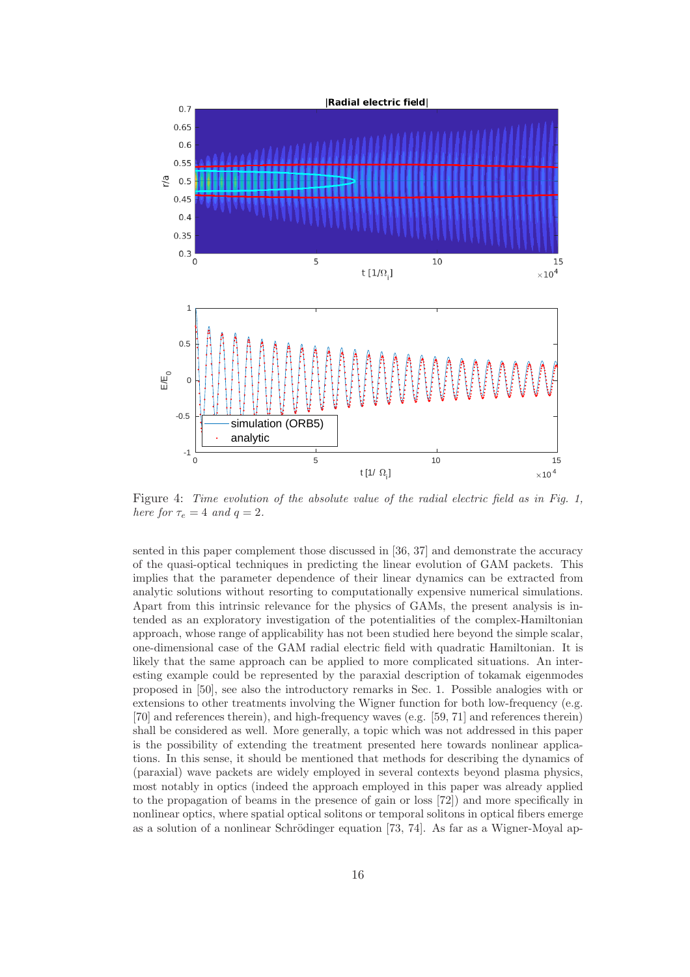

Figure 4: Time evolution of the absolute value of the radial electric field as in Fig. 1, here for  $\tau_e = 4$  and  $q = 2$ .

sented in this paper complement those discussed in [36, 37] and demonstrate the accuracy of the quasi-optical techniques in predicting the linear evolution of GAM packets. This implies that the parameter dependence of their linear dynamics can be extracted from analytic solutions without resorting to computationally expensive numerical simulations. Apart from this intrinsic relevance for the physics of GAMs, the present analysis is intended as an exploratory investigation of the potentialities of the complex-Hamiltonian approach, whose range of applicability has not been studied here beyond the simple scalar, one-dimensional case of the GAM radial electric field with quadratic Hamiltonian. It is likely that the same approach can be applied to more complicated situations. An interesting example could be represented by the paraxial description of tokamak eigenmodes proposed in [50], see also the introductory remarks in Sec. 1. Possible analogies with or extensions to other treatments involving the Wigner function for both low-frequency (e.g. [70] and references therein), and high-frequency waves (e.g. [59, 71] and references therein) shall be considered as well. More generally, a topic which was not addressed in this paper is the possibility of extending the treatment presented here towards nonlinear applications. In this sense, it should be mentioned that methods for describing the dynamics of (paraxial) wave packets are widely employed in several contexts beyond plasma physics, most notably in optics (indeed the approach employed in this paper was already applied to the propagation of beams in the presence of gain or loss [72]) and more specifically in nonlinear optics, where spatial optical solitons or temporal solitons in optical fibers emerge as a solution of a nonlinear Schrödinger equation  $[73, 74]$ . As far as a Wigner-Moyal ap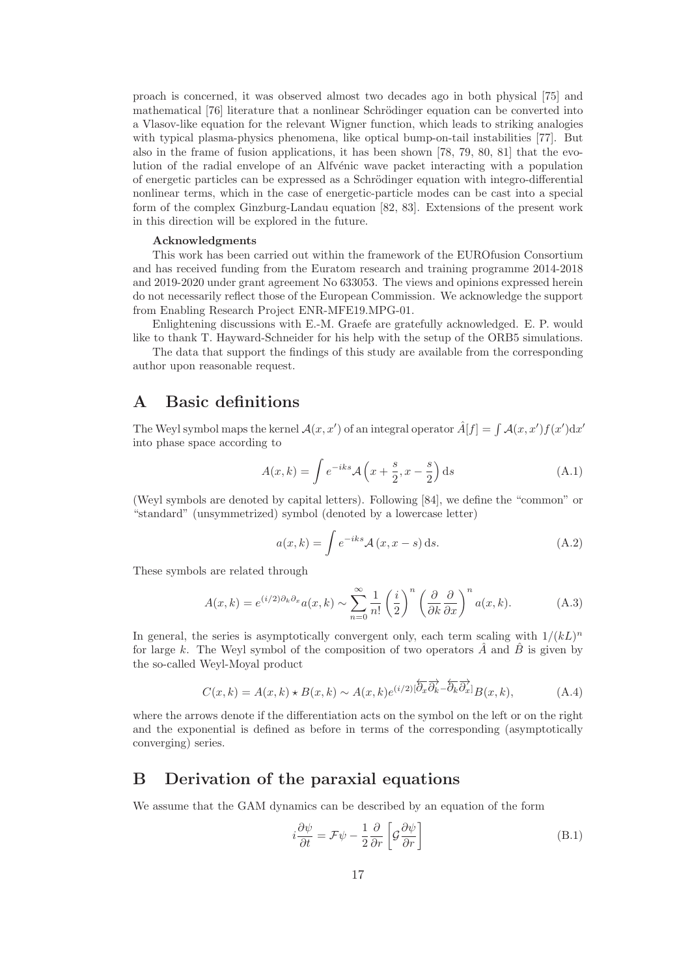proach is concerned, it was observed almost two decades ago in both physical [75] and mathematical [76] literature that a nonlinear Schrödinger equation can be converted into a Vlasov-like equation for the relevant Wigner function, which leads to striking analogies with typical plasma-physics phenomena, like optical bump-on-tail instabilities [77]. But also in the frame of fusion applications, it has been shown [78, 79, 80, 81] that the evolution of the radial envelope of an Alfvénic wave packet interacting with a population of energetic particles can be expressed as a Schrödinger equation with integro-differential nonlinear terms, which in the case of energetic-particle modes can be cast into a special form of the complex Ginzburg-Landau equation [82, 83]. Extensions of the present work in this direction will be explored in the future.

#### Acknowledgments

This work has been carried out within the framework of the EUROfusion Consortium and has received funding from the Euratom research and training programme 2014-2018 and 2019-2020 under grant agreement No 633053. The views and opinions expressed herein do not necessarily reflect those of the European Commission. We acknowledge the support from Enabling Research Project ENR-MFE19.MPG-01.

Enlightening discussions with E.-M. Graefe are gratefully acknowledged. E. P. would like to thank T. Hayward-Schneider for his help with the setup of the ORB5 simulations.

The data that support the findings of this study are available from the corresponding author upon reasonable request.

# A Basic definitions

The Weyl symbol maps the kernel  $\mathcal{A}(x, x')$  of an integral operator  $\hat{A}[f] = \int \mathcal{A}(x, x') f(x') dx'$ into phase space according to

$$
A(x,k) = \int e^{-iks} \mathcal{A}\left(x + \frac{s}{2}, x - \frac{s}{2}\right) ds \tag{A.1}
$$

(Weyl symbols are denoted by capital letters). Following [84], we define the "common" or "standard" (unsymmetrized) symbol (denoted by a lowercase letter)

$$
a(x,k) = \int e^{-iks} \mathcal{A}(x, x - s) \, ds. \tag{A.2}
$$

These symbols are related through

$$
A(x,k) = e^{(i/2)\partial_k \partial_x} a(x,k) \sim \sum_{n=0}^{\infty} \frac{1}{n!} \left(\frac{i}{2}\right)^n \left(\frac{\partial}{\partial k} \frac{\partial}{\partial x}\right)^n a(x,k).
$$
 (A.3)

In general, the series is asymptotically convergent only, each term scaling with  $1/(kL)^n$ for large k. The Weyl symbol of the composition of two operators A and B is given by the so-called Weyl-Moyal product

$$
C(x,k) = A(x,k) \star B(x,k) \sim A(x,k)e^{(i/2)[\overleftrightarrow{\partial}_x \overleftrightarrow{\partial}_k - \overleftrightarrow{\partial}_k \overleftrightarrow{\partial}_x]}B(x,k), \tag{A.4}
$$

where the arrows denote if the differentiation acts on the symbol on the left or on the right and the exponential is defined as before in terms of the corresponding (asymptotically converging) series.

## B Derivation of the paraxial equations

We assume that the GAM dynamics can be described by an equation of the form

$$
i\frac{\partial\psi}{\partial t} = \mathcal{F}\psi - \frac{1}{2}\frac{\partial}{\partial r}\left[\mathcal{G}\frac{\partial\psi}{\partial r}\right]
$$
 (B.1)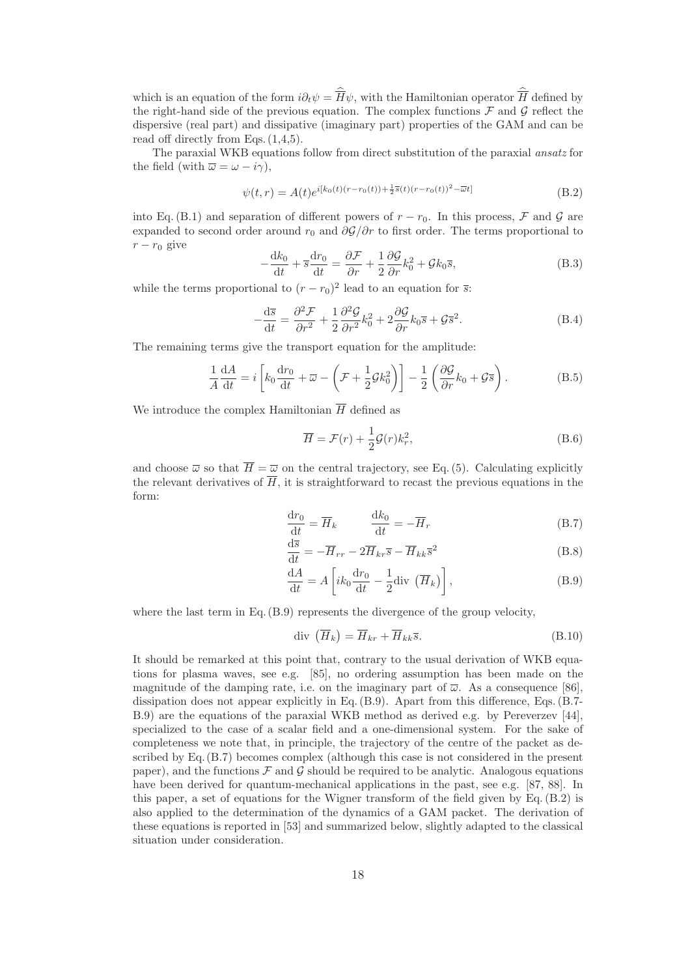which is an equation of the form  $i\partial_t \psi = H\psi$ , with the Hamiltonian operator H defined by the right-hand side of the previous equation. The complex functions  $\mathcal F$  and  $\mathcal G$  reflect the dispersive (real part) and dissipative (imaginary part) properties of the GAM and can be read off directly from Eqs. (1,4,5).

The paraxial WKB equations follow from direct substitution of the paraxial ansatz for the field (with  $\overline{\omega} = \omega - i\gamma$ ),

$$
\psi(t,r) = A(t)e^{i[k_0(t)(r-r_0(t))+\frac{1}{2}\overline{s}(t)(r-r_0(t))^2 - \overline{\omega}t]}
$$
\n(B.2)

into Eq. (B.1) and separation of different powers of  $r - r_0$ . In this process,  $\mathcal F$  and  $\mathcal G$  are expanded to second order around  $r_0$  and  $\partial \mathcal{G}/\partial r$  to first order. The terms proportional to  $r - r_0$  give

$$
-\frac{dk_0}{dt} + \overline{s}\frac{dr_0}{dt} = \frac{\partial \mathcal{F}}{\partial r} + \frac{1}{2}\frac{\partial \mathcal{G}}{\partial r}k_0^2 + \mathcal{G}k_0\overline{s},\tag{B.3}
$$

while the terms proportional to  $(r - r_0)^2$  lead to an equation for  $\overline{s}$ :

$$
-\frac{\mathrm{d}\overline{s}}{\mathrm{d}t} = \frac{\partial^2 \mathcal{F}}{\partial r^2} + \frac{1}{2} \frac{\partial^2 \mathcal{G}}{\partial r^2} k_0^2 + 2 \frac{\partial \mathcal{G}}{\partial r} k_0 \overline{s} + \mathcal{G} \overline{s}^2. \tag{B.4}
$$

The remaining terms give the transport equation for the amplitude:

$$
\frac{1}{A}\frac{dA}{dt} = i\left[k_0\frac{dr_0}{dt} + \overline{\omega} - \left(\mathcal{F} + \frac{1}{2}\mathcal{G}k_0^2\right)\right] - \frac{1}{2}\left(\frac{\partial\mathcal{G}}{\partial r}k_0 + \mathcal{G}\overline{s}\right).
$$
(B.5)

We introduce the complex Hamiltonian  $\overline{H}$  defined as

$$
\overline{H} = \mathcal{F}(r) + \frac{1}{2}\mathcal{G}(r)k_r^2,
$$
\n(B.6)

and choose  $\overline{\omega}$  so that  $\overline{H} = \overline{\omega}$  on the central trajectory, see Eq. (5). Calculating explicitly the relevant derivatives of  $\overline{H}$ , it is straightforward to recast the previous equations in the form:

$$
\frac{\mathrm{d}r_0}{\mathrm{d}t} = \overline{H}_k \qquad \frac{\mathrm{d}k_0}{\mathrm{d}t} = -\overline{H}_r \tag{B.7}
$$

$$
\frac{\mathrm{d}\overline{s}}{\mathrm{d}t} = -\overline{H}_{rr} - 2\overline{H}_{kr}\overline{s} - \overline{H}_{kk}\overline{s}^{2}
$$
(B.8)

$$
\frac{\mathrm{d}A}{\mathrm{d}t} = A \left[ i k_0 \frac{\mathrm{d}r_0}{\mathrm{d}t} - \frac{1}{2} \mathrm{div} \left( \overline{H}_k \right) \right],\tag{B.9}
$$

where the last term in Eq.  $(B.9)$  represents the divergence of the group velocity,

$$
\text{div}\,\left(\overline{H}_k\right) = \overline{H}_{kr} + \overline{H}_{kk}\overline{s}.\tag{B.10}
$$

It should be remarked at this point that, contrary to the usual derivation of WKB equations for plasma waves, see e.g. [85], no ordering assumption has been made on the magnitude of the damping rate, i.e. on the imaginary part of  $\bar{\omega}$ . As a consequence [86], dissipation does not appear explicitly in Eq. (B.9). Apart from this difference, Eqs. (B.7- B.9) are the equations of the paraxial WKB method as derived e.g. by Pereverzev [44], specialized to the case of a scalar field and a one-dimensional system. For the sake of completeness we note that, in principle, the trajectory of the centre of the packet as described by Eq. (B.7) becomes complex (although this case is not considered in the present paper), and the functions  $\mathcal F$  and  $\mathcal G$  should be required to be analytic. Analogous equations have been derived for quantum-mechanical applications in the past, see e.g. [87, 88]. In this paper, a set of equations for the Wigner transform of the field given by Eq. (B.2) is also applied to the determination of the dynamics of a GAM packet. The derivation of these equations is reported in [53] and summarized below, slightly adapted to the classical situation under consideration.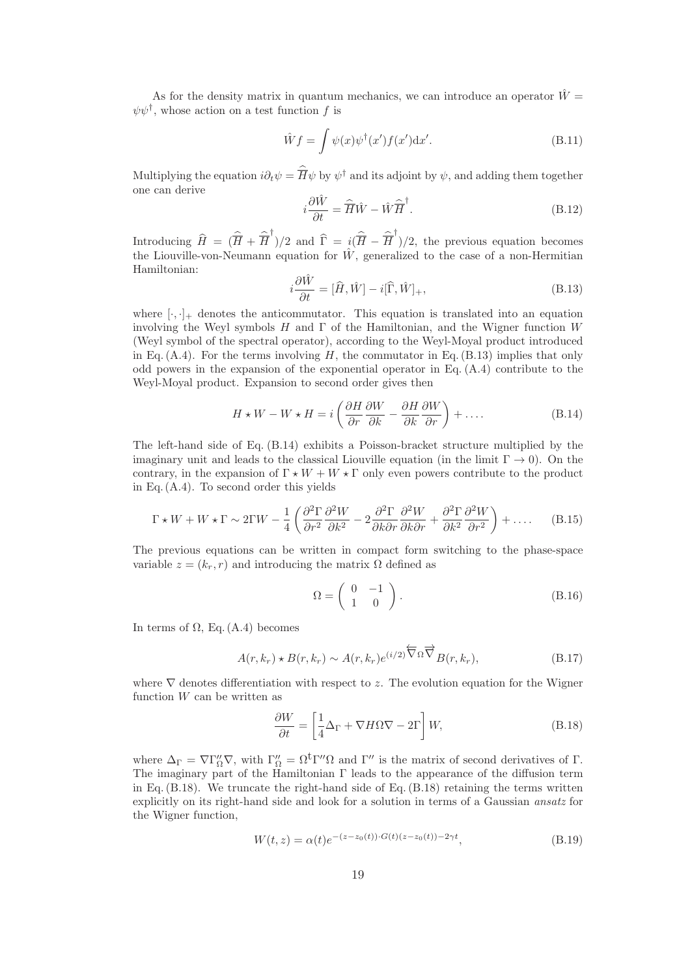As for the density matrix in quantum mechanics, we can introduce an operator  $\hat{W}$  $\psi \psi^{\dagger}$ , whose action on a test function f is

$$
\hat{W}f = \int \psi(x)\psi^{\dagger}(x')f(x')dx'. \tag{B.11}
$$

Multiplying the equation  $i\partial_t \psi = \overline{H} \psi$  by  $\psi^{\dagger}$  and its adjoint by  $\psi$ , and adding them together one can derive

$$
i\frac{\partial \hat{W}}{\partial t} = \hat{\overline{H}}\hat{W} - \hat{W}\hat{\overline{H}}^{\dagger}.
$$
 (B.12)

Introducing  $\widehat{H} = (\widehat{\overline{H}} + \widehat{\overline{H}}^{\dagger})/2$  and  $\widehat{\Gamma} = i(\widehat{\overline{H}} - \widehat{\overline{H}}^{\dagger})/2$ , the previous equation becomes the Liouville-von-Neumann equation for  $\hat{W}$ , generalized to the case of a non-Hermitian Hamiltonian:

$$
i\frac{\partial \hat{W}}{\partial t} = [\hat{H}, \hat{W}] - i[\hat{\Gamma}, \hat{W}]_{+},
$$
\n(B.13)

where  $[\cdot,\cdot]_+$  denotes the anticommutator. This equation is translated into an equation involving the Weyl symbols  $H$  and  $\Gamma$  of the Hamiltonian, and the Wigner function  $W$ (Weyl symbol of the spectral operator), according to the Weyl-Moyal product introduced in Eq.  $(A.4)$ . For the terms involving H, the commutator in Eq.  $(B.13)$  implies that only odd powers in the expansion of the exponential operator in Eq. (A.4) contribute to the Weyl-Moyal product. Expansion to second order gives then

$$
H \star W - W \star H = i \left( \frac{\partial H}{\partial r} \frac{\partial W}{\partial k} - \frac{\partial H}{\partial k} \frac{\partial W}{\partial r} \right) + \dots
$$
 (B.14)

The left-hand side of Eq. (B.14) exhibits a Poisson-bracket structure multiplied by the imaginary unit and leads to the classical Liouville equation (in the limit  $\Gamma \to 0$ ). On the contrary, in the expansion of  $\Gamma \star W + W \star \Gamma$  only even powers contribute to the product in Eq. (A.4). To second order this yields

$$
\Gamma \star W + W \star \Gamma \sim 2\Gamma W - \frac{1}{4} \left( \frac{\partial^2 \Gamma}{\partial r^2} \frac{\partial^2 W}{\partial k^2} - 2 \frac{\partial^2 \Gamma}{\partial k \partial r} \frac{\partial^2 W}{\partial k \partial r} + \frac{\partial^2 \Gamma}{\partial k^2} \frac{\partial^2 W}{\partial r^2} \right) + \dots. \tag{B.15}
$$

The previous equations can be written in compact form switching to the phase-space variable  $z = (k_r, r)$  and introducing the matrix  $\Omega$  defined as

$$
\Omega = \left( \begin{array}{cc} 0 & -1 \\ 1 & 0 \end{array} \right). \tag{B.16}
$$

In terms of  $\Omega$ , Eq. (A.4) becomes

$$
A(r,k_r) \star B(r,k_r) \sim A(r,k_r) e^{(i/2)} \overleftrightarrow{\nabla} \Omega \overrightarrow{\nabla} B(r,k_r), \tag{B.17}
$$

where  $\nabla$  denotes differentiation with respect to z. The evolution equation for the Wigner function  $W$  can be written as

$$
\frac{\partial W}{\partial t} = \left[\frac{1}{4}\Delta_{\Gamma} + \nabla H \Omega \nabla - 2\Gamma\right] W, \tag{B.18}
$$

where  $\Delta_{\Gamma} = \nabla \Gamma''_{\Omega} \nabla$ , with  $\Gamma''_{\Omega} = \Omega^{\dagger} \Gamma'' \Omega$  and  $\Gamma''$  is the matrix of second derivatives of  $\Gamma$ . The imaginary part of the Hamiltonian Γ leads to the appearance of the diffusion term in Eq.  $(B.18)$ . We truncate the right-hand side of Eq.  $(B.18)$  retaining the terms written explicitly on its right-hand side and look for a solution in terms of a Gaussian ansatz for the Wigner function,

$$
W(t,z) = \alpha(t)e^{-(z-z_0(t)) \cdot G(t)(z-z_0(t)) - 2\gamma t},
$$
\n(B.19)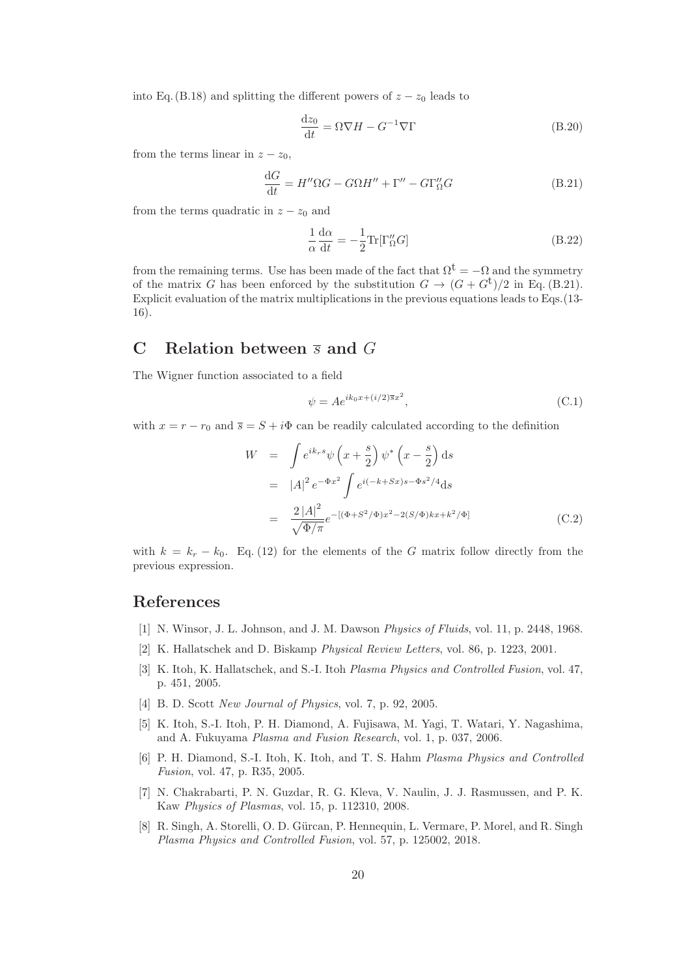into Eq. (B.18) and splitting the different powers of  $z - z_0$  leads to

$$
\frac{\mathrm{d}z_0}{\mathrm{d}t} = \Omega \nabla H - G^{-1} \nabla \Gamma \tag{B.20}
$$

from the terms linear in  $z - z_0$ ,

$$
\frac{\mathrm{d}G}{\mathrm{d}t} = H''\Omega G - G\Omega H'' + \Gamma'' - G\Gamma''_{\Omega}G \tag{B.21}
$$

from the terms quadratic in  $z - z_0$  and

$$
\frac{1}{\alpha} \frac{d\alpha}{dt} = -\frac{1}{2} \text{Tr}[\Gamma''_{\Omega} G] \tag{B.22}
$$

from the remaining terms. Use has been made of the fact that  $\Omega^{\mathbf{t}} = -\Omega$  and the symmetry of the matrix G has been enforced by the substitution  $G \to (G + G^{\dagger})/2$  in Eq. (B.21). Explicit evaluation of the matrix multiplications in the previous equations leads to Eqs.(13- 16).

# C Relation between  $\overline{s}$  and  $G$

The Wigner function associated to a field

$$
\psi = Ae^{ik_0x + (i/2)\bar{s}x^2},\tag{C.1}
$$

with  $x = r - r_0$  and  $\bar{s} = S + i\Phi$  can be readily calculated according to the definition

$$
W = \int e^{ik_r s} \psi \left( x + \frac{s}{2} \right) \psi^* \left( x - \frac{s}{2} \right) ds
$$
  
\n
$$
= |A|^2 e^{-\Phi x^2} \int e^{i(-k+Sx)s - \Phi s^2/4} ds
$$
  
\n
$$
= \frac{2 |A|^2}{\sqrt{\Phi/\pi}} e^{-[(\Phi + S^2/\Phi)x^2 - 2(S/\Phi)kx + k^2/\Phi]}
$$
(C.2)

with  $k = k_r - k_0$ . Eq. (12) for the elements of the G matrix follow directly from the previous expression.

### References

- [1] N. Winsor, J. L. Johnson, and J. M. Dawson Physics of Fluids, vol. 11, p. 2448, 1968.
- [2] K. Hallatschek and D. Biskamp Physical Review Letters, vol. 86, p. 1223, 2001.
- [3] K. Itoh, K. Hallatschek, and S.-I. Itoh Plasma Physics and Controlled Fusion, vol. 47, p. 451, 2005.
- [4] B. D. Scott New Journal of Physics, vol. 7, p. 92, 2005.
- [5] K. Itoh, S.-I. Itoh, P. H. Diamond, A. Fujisawa, M. Yagi, T. Watari, Y. Nagashima, and A. Fukuyama Plasma and Fusion Research, vol. 1, p. 037, 2006.
- [6] P. H. Diamond, S.-I. Itoh, K. Itoh, and T. S. Hahm Plasma Physics and Controlled Fusion, vol. 47, p. R35, 2005.
- [7] N. Chakrabarti, P. N. Guzdar, R. G. Kleva, V. Naulin, J. J. Rasmussen, and P. K. Kaw Physics of Plasmas, vol. 15, p. 112310, 2008.
- [8] R. Singh, A. Storelli, O. D. Gürcan, P. Hennequin, L. Vermare, P. Morel, and R. Singh Plasma Physics and Controlled Fusion, vol. 57, p. 125002, 2018.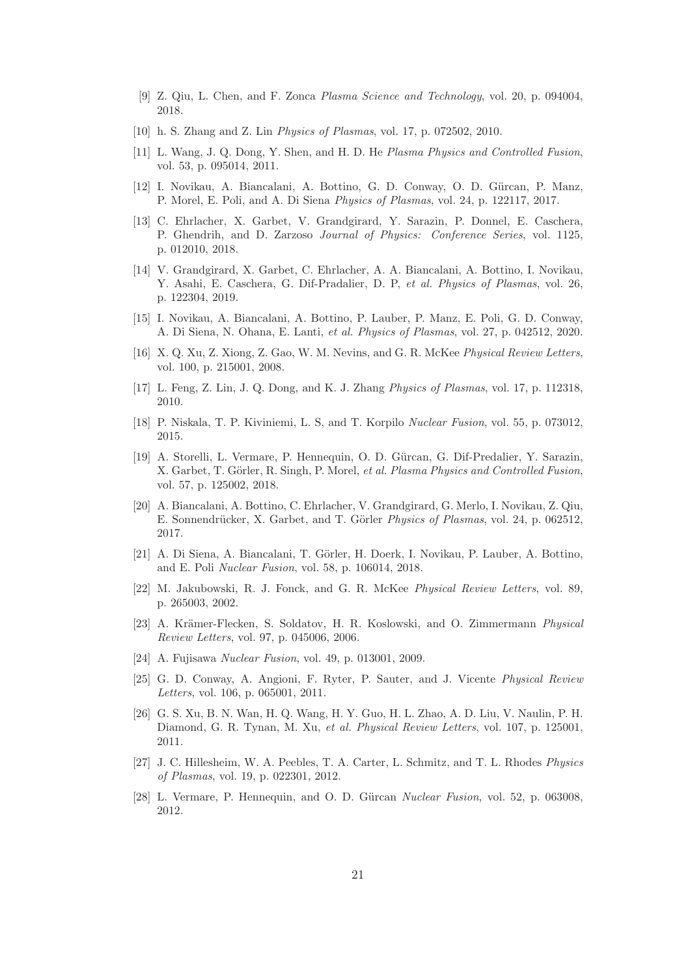- [9] Z. Qiu, L. Chen, and F. Zonca Plasma Science and Technology, vol. 20, p. 094004, 2018.
- [10] h. S. Zhang and Z. Lin Physics of Plasmas, vol. 17, p. 072502, 2010.
- [11] L. Wang, J. Q. Dong, Y. Shen, and H. D. He Plasma Physics and Controlled Fusion, vol. 53, p. 095014, 2011.
- [12] I. Novikau, A. Biancalani, A. Bottino, G. D. Conway, O. D. Gürcan, P. Manz, P. Morel, E. Poli, and A. Di Siena Physics of Plasmas, vol. 24, p. 122117, 2017.
- [13] C. Ehrlacher, X. Garbet, V. Grandgirard, Y. Sarazin, P. Donnel, E. Caschera, P. Ghendrih, and D. Zarzoso Journal of Physics: Conference Series, vol. 1125, p. 012010, 2018.
- [14] V. Grandgirard, X. Garbet, C. Ehrlacher, A. A. Biancalani, A. Bottino, I. Novikau, Y. Asahi, E. Caschera, G. Dif-Pradalier, D. P, et al. Physics of Plasmas, vol. 26, p. 122304, 2019.
- [15] I. Novikau, A. Biancalani, A. Bottino, P. Lauber, P. Manz, E. Poli, G. D. Conway, A. Di Siena, N. Ohana, E. Lanti, et al. Physics of Plasmas, vol. 27, p. 042512, 2020.
- [16] X. Q. Xu, Z. Xiong, Z. Gao, W. M. Nevins, and G. R. McKee Physical Review Letters, vol. 100, p. 215001, 2008.
- [17] L. Feng, Z. Lin, J. Q. Dong, and K. J. Zhang Physics of Plasmas, vol. 17, p. 112318, 2010.
- [18] P. Niskala, T. P. Kiviniemi, L. S, and T. Korpilo Nuclear Fusion, vol. 55, p. 073012, 2015.
- [19] A. Storelli, L. Vermare, P. Hennequin, O. D. G¨urcan, G. Dif-Predalier, Y. Sarazin, X. Garbet, T. Görler, R. Singh, P. Morel, et al. Plasma Physics and Controlled Fusion, vol. 57, p. 125002, 2018.
- [20] A. Biancalani, A. Bottino, C. Ehrlacher, V. Grandgirard, G. Merlo, I. Novikau, Z. Qiu, E. Sonnendrücker, X. Garbet, and T. Görler *Physics of Plasmas*, vol. 24, p. 062512, 2017.
- [21] A. Di Siena, A. Biancalani, T. G¨orler, H. Doerk, I. Novikau, P. Lauber, A. Bottino, and E. Poli Nuclear Fusion, vol. 58, p. 106014, 2018.
- [22] M. Jakubowski, R. J. Fonck, and G. R. McKee Physical Review Letters, vol. 89, p. 265003, 2002.
- [23] A. Krämer-Flecken, S. Soldatov, H. R. Koslowski, and O. Zimmermann Physical Review Letters, vol. 97, p. 045006, 2006.
- [24] A. Fujisawa Nuclear Fusion, vol. 49, p. 013001, 2009.
- [25] G. D. Conway, A. Angioni, F. Ryter, P. Sauter, and J. Vicente Physical Review Letters, vol. 106, p. 065001, 2011.
- [26] G. S. Xu, B. N. Wan, H. Q. Wang, H. Y. Guo, H. L. Zhao, A. D. Liu, V. Naulin, P. H. Diamond, G. R. Tynan, M. Xu, et al. Physical Review Letters, vol. 107, p. 125001, 2011.
- [27] J. C. Hillesheim, W. A. Peebles, T. A. Carter, L. Schmitz, and T. L. Rhodes Physics of Plasmas, vol. 19, p. 022301, 2012.
- [28] L. Vermare, P. Hennequin, and O. D. Gürcan *Nuclear Fusion*, vol. 52, p. 063008, 2012.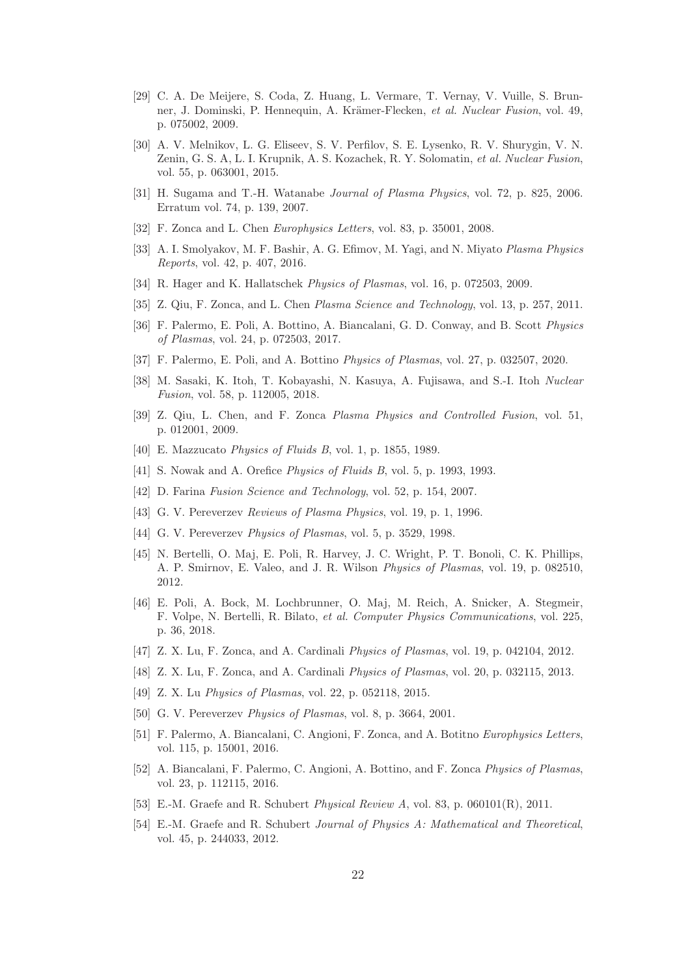- [29] C. A. De Meijere, S. Coda, Z. Huang, L. Vermare, T. Vernay, V. Vuille, S. Brunner, J. Dominski, P. Hennequin, A. Krämer-Flecken, et al. Nuclear Fusion, vol. 49, p. 075002, 2009.
- [30] A. V. Melnikov, L. G. Eliseev, S. V. Perfilov, S. E. Lysenko, R. V. Shurygin, V. N. Zenin, G. S. A, L. I. Krupnik, A. S. Kozachek, R. Y. Solomatin, et al. Nuclear Fusion, vol. 55, p. 063001, 2015.
- [31] H. Sugama and T.-H. Watanabe Journal of Plasma Physics, vol. 72, p. 825, 2006. Erratum vol. 74, p. 139, 2007.
- [32] F. Zonca and L. Chen Europhysics Letters, vol. 83, p. 35001, 2008.
- [33] A. I. Smolyakov, M. F. Bashir, A. G. Efimov, M. Yagi, and N. Miyato Plasma Physics Reports, vol. 42, p. 407, 2016.
- [34] R. Hager and K. Hallatschek *Physics of Plasmas*, vol. 16, p. 072503, 2009.
- [35] Z. Qiu, F. Zonca, and L. Chen Plasma Science and Technology, vol. 13, p. 257, 2011.
- [36] F. Palermo, E. Poli, A. Bottino, A. Biancalani, G. D. Conway, and B. Scott Physics of Plasmas, vol. 24, p. 072503, 2017.
- [37] F. Palermo, E. Poli, and A. Bottino Physics of Plasmas, vol. 27, p. 032507, 2020.
- [38] M. Sasaki, K. Itoh, T. Kobayashi, N. Kasuya, A. Fujisawa, and S.-I. Itoh Nuclear Fusion, vol. 58, p. 112005, 2018.
- [39] Z. Qiu, L. Chen, and F. Zonca Plasma Physics and Controlled Fusion, vol. 51, p. 012001, 2009.
- [40] E. Mazzucato Physics of Fluids B, vol. 1, p. 1855, 1989.
- [41] S. Nowak and A. Orefice Physics of Fluids B, vol. 5, p. 1993, 1993.
- [42] D. Farina *Fusion Science and Technology*, vol. 52, p. 154, 2007.
- [43] G. V. Pereverzev Reviews of Plasma Physics, vol. 19, p. 1, 1996.
- [44] G. V. Pereverzev *Physics of Plasmas*, vol. 5, p. 3529, 1998.
- [45] N. Bertelli, O. Maj, E. Poli, R. Harvey, J. C. Wright, P. T. Bonoli, C. K. Phillips, A. P. Smirnov, E. Valeo, and J. R. Wilson Physics of Plasmas, vol. 19, p. 082510, 2012.
- [46] E. Poli, A. Bock, M. Lochbrunner, O. Maj, M. Reich, A. Snicker, A. Stegmeir, F. Volpe, N. Bertelli, R. Bilato, et al. Computer Physics Communications, vol. 225, p. 36, 2018.
- [47] Z. X. Lu, F. Zonca, and A. Cardinali Physics of Plasmas, vol. 19, p. 042104, 2012.
- [48] Z. X. Lu, F. Zonca, and A. Cardinali Physics of Plasmas, vol. 20, p. 032115, 2013.
- [49] Z. X. Lu *Physics of Plasmas*, vol. 22, p. 052118, 2015.
- [50] G. V. Pereverzev Physics of Plasmas, vol. 8, p. 3664, 2001.
- [51] F. Palermo, A. Biancalani, C. Angioni, F. Zonca, and A. Botitno Europhysics Letters, vol. 115, p. 15001, 2016.
- [52] A. Biancalani, F. Palermo, C. Angioni, A. Bottino, and F. Zonca Physics of Plasmas, vol. 23, p. 112115, 2016.
- [53] E.-M. Graefe and R. Schubert Physical Review A, vol. 83, p. 060101(R), 2011.
- [54] E.-M. Graefe and R. Schubert Journal of Physics A: Mathematical and Theoretical, vol. 45, p. 244033, 2012.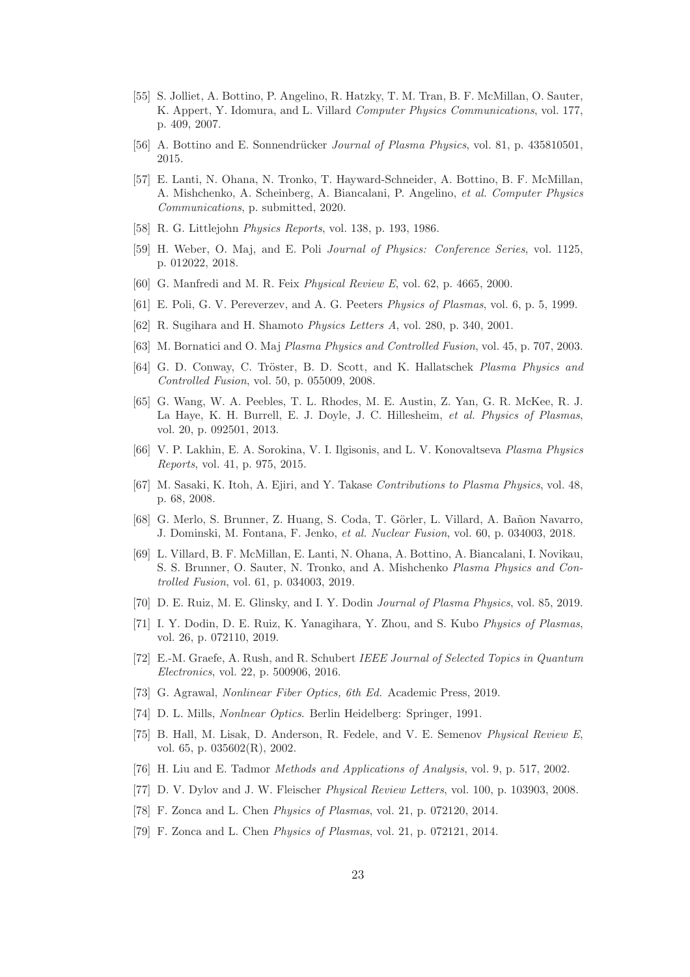- [55] S. Jolliet, A. Bottino, P. Angelino, R. Hatzky, T. M. Tran, B. F. McMillan, O. Sauter, K. Appert, Y. Idomura, and L. Villard Computer Physics Communications, vol. 177, p. 409, 2007.
- [56] A. Bottino and E. Sonnendrücker *Journal of Plasma Physics*, vol. 81, p.  $435810501$ , 2015.
- [57] E. Lanti, N. Ohana, N. Tronko, T. Hayward-Schneider, A. Bottino, B. F. McMillan, A. Mishchenko, A. Scheinberg, A. Biancalani, P. Angelino, et al. Computer Physics Communications, p. submitted, 2020.
- [58] R. G. Littlejohn Physics Reports, vol. 138, p. 193, 1986.
- [59] H. Weber, O. Maj, and E. Poli Journal of Physics: Conference Series, vol. 1125, p. 012022, 2018.
- [60] G. Manfredi and M. R. Feix Physical Review E, vol. 62, p. 4665, 2000.
- [61] E. Poli, G. V. Pereverzev, and A. G. Peeters Physics of Plasmas, vol. 6, p. 5, 1999.
- [62] R. Sugihara and H. Shamoto Physics Letters A, vol. 280, p. 340, 2001.
- [63] M. Bornatici and O. Maj Plasma Physics and Controlled Fusion, vol. 45, p. 707, 2003.
- [64] G. D. Conway, C. Tröster, B. D. Scott, and K. Hallatschek Plasma Physics and Controlled Fusion, vol. 50, p. 055009, 2008.
- [65] G. Wang, W. A. Peebles, T. L. Rhodes, M. E. Austin, Z. Yan, G. R. McKee, R. J. La Haye, K. H. Burrell, E. J. Doyle, J. C. Hillesheim, et al. Physics of Plasmas, vol. 20, p. 092501, 2013.
- [66] V. P. Lakhin, E. A. Sorokina, V. I. Ilgisonis, and L. V. Konovaltseva Plasma Physics Reports, vol. 41, p. 975, 2015.
- [67] M. Sasaki, K. Itoh, A. Ejiri, and Y. Takase Contributions to Plasma Physics, vol. 48, p. 68, 2008.
- [68] G. Merlo, S. Brunner, Z. Huang, S. Coda, T. Görler, L. Villard, A. Bañon Navarro, J. Dominski, M. Fontana, F. Jenko, et al. Nuclear Fusion, vol. 60, p. 034003, 2018.
- [69] L. Villard, B. F. McMillan, E. Lanti, N. Ohana, A. Bottino, A. Biancalani, I. Novikau, S. S. Brunner, O. Sauter, N. Tronko, and A. Mishchenko Plasma Physics and Controlled Fusion, vol. 61, p. 034003, 2019.
- [70] D. E. Ruiz, M. E. Glinsky, and I. Y. Dodin Journal of Plasma Physics, vol. 85, 2019.
- [71] I. Y. Dodin, D. E. Ruiz, K. Yanagihara, Y. Zhou, and S. Kubo Physics of Plasmas, vol. 26, p. 072110, 2019.
- [72] E.-M. Graefe, A. Rush, and R. Schubert IEEE Journal of Selected Topics in Quantum Electronics, vol. 22, p. 500906, 2016.
- [73] G. Agrawal, Nonlinear Fiber Optics, 6th Ed. Academic Press, 2019.
- [74] D. L. Mills, Nonlnear Optics. Berlin Heidelberg: Springer, 1991.
- [75] B. Hall, M. Lisak, D. Anderson, R. Fedele, and V. E. Semenov Physical Review E, vol. 65, p. 035602(R), 2002.
- [76] H. Liu and E. Tadmor Methods and Applications of Analysis, vol. 9, p. 517, 2002.
- [77] D. V. Dylov and J. W. Fleischer Physical Review Letters, vol. 100, p. 103903, 2008.
- [78] F. Zonca and L. Chen Physics of Plasmas, vol. 21, p. 072120, 2014.
- [79] F. Zonca and L. Chen Physics of Plasmas, vol. 21, p. 072121, 2014.